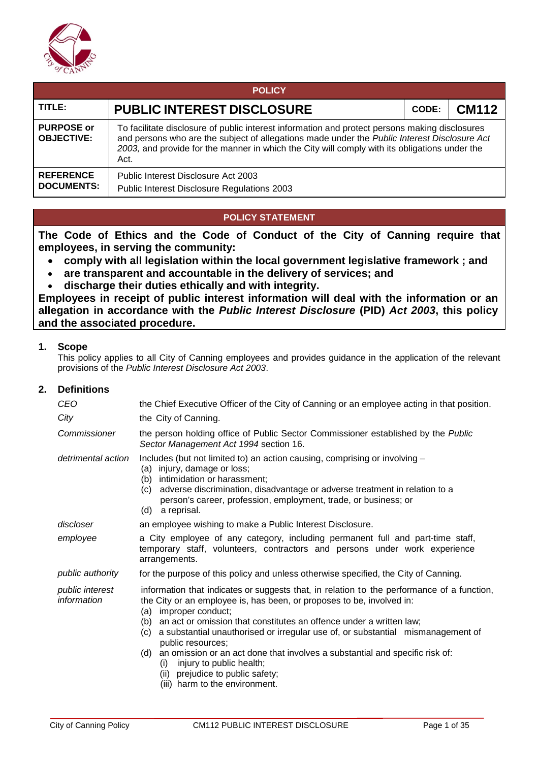

| <b>POLICY</b>                          |                                                                                                                                                                                                                                                                                                         |       |              |  |  |  |
|----------------------------------------|---------------------------------------------------------------------------------------------------------------------------------------------------------------------------------------------------------------------------------------------------------------------------------------------------------|-------|--------------|--|--|--|
| TITLE:                                 | <b>PUBLIC INTEREST DISCLOSURE</b>                                                                                                                                                                                                                                                                       | CODE: | <b>CM112</b> |  |  |  |
| <b>PURPOSE or</b><br><b>OBJECTIVE:</b> | To facilitate disclosure of public interest information and protect persons making disclosures<br>and persons who are the subject of allegations made under the Public Interest Disclosure Act<br>2003, and provide for the manner in which the City will comply with its obligations under the<br>Act. |       |              |  |  |  |
| <b>REFERENCE</b><br><b>DOCUMENTS:</b>  | Public Interest Disclosure Act 2003<br>Public Interest Disclosure Regulations 2003                                                                                                                                                                                                                      |       |              |  |  |  |

# **POLICY STATEMENT**

**The Code of Ethics and the Code of Conduct of the City of Canning require that employees, in serving the community:**

- **comply with all legislation within the local government legislative framework ; and**
- **are transparent and accountable in the delivery of services; and**
- **discharge their duties ethically and with integrity.**

**Employees in receipt of public interest information will deal with the information or an allegation in accordance with the** *Public Interest Disclosure* **(PID)** *Act 2003***, this policy and the associated procedure.**

#### **1. Scope**

This policy applies to all City of Canning employees and provides guidance in the application of the relevant provisions of the *Public Interest Disclosure Act 2003*.

#### **2. Definitions**

| CEO<br>City                    | the Chief Executive Officer of the City of Canning or an employee acting in that position.<br>the City of Canning.                                                                                                                                                                                                                                                                                                                                                                                                                                                               |
|--------------------------------|----------------------------------------------------------------------------------------------------------------------------------------------------------------------------------------------------------------------------------------------------------------------------------------------------------------------------------------------------------------------------------------------------------------------------------------------------------------------------------------------------------------------------------------------------------------------------------|
| Commissioner                   | the person holding office of Public Sector Commissioner established by the Public<br>Sector Management Act 1994 section 16.                                                                                                                                                                                                                                                                                                                                                                                                                                                      |
| detrimental action             | Includes (but not limited to) an action causing, comprising or involving -<br>(a) injury, damage or loss;<br>(b) intimidation or harassment;<br>(c) adverse discrimination, disadvantage or adverse treatment in relation to a<br>person's career, profession, employment, trade, or business; or<br>(d) a reprisal.                                                                                                                                                                                                                                                             |
| discloser                      | an employee wishing to make a Public Interest Disclosure.                                                                                                                                                                                                                                                                                                                                                                                                                                                                                                                        |
| employee                       | a City employee of any category, including permanent full and part-time staff,<br>temporary staff, volunteers, contractors and persons under work experience<br>arrangements.                                                                                                                                                                                                                                                                                                                                                                                                    |
| public authority               | for the purpose of this policy and unless otherwise specified, the City of Canning.                                                                                                                                                                                                                                                                                                                                                                                                                                                                                              |
| public interest<br>information | information that indicates or suggests that, in relation to the performance of a function,<br>the City or an employee is, has been, or proposes to be, involved in:<br>(a) improper conduct;<br>(b) an act or omission that constitutes an offence under a written law;<br>(c) a substantial unauthorised or irregular use of, or substantial mismanagement of<br>public resources;<br>(d) an omission or an act done that involves a substantial and specific risk of:<br>injury to public health;<br>(i)<br>(ii) prejudice to public safety;<br>(iii) harm to the environment. |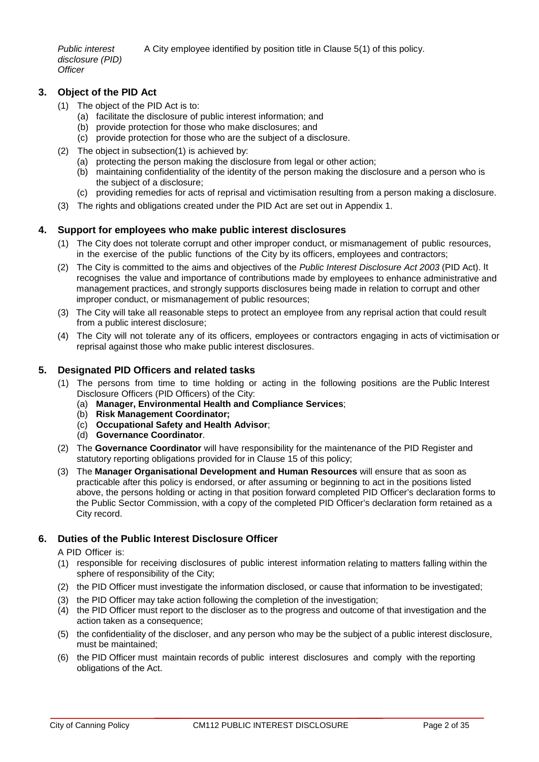*Public interest*  A City employee identified by position title in Clause 5(1) of this policy.

*disclosure (PID) Officer*

# **3. Object of the PID Act**

- (1) The object of the PID Act is to:
	- (a) facilitate the disclosure of public interest information; and
	- (b) provide protection for those who make disclosures; and
	- (c) provide protection for those who are the subject of a disclosure.
- (2) The object in subsection(1) is achieved by:
	- (a) protecting the person making the disclosure from legal or other action;
	- (b) maintaining confidentiality of the identity of the person making the disclosure and a person who is the subject of a disclosure;
	- (c) providing remedies for acts of reprisal and victimisation resulting from a person making a disclosure.
- (3) The rights and obligations created under the PID Act are set out in Appendix 1.

# **4. Support for employees who make public interest disclosures**

- (1) The City does not tolerate corrupt and other improper conduct, or mismanagement of public resources, in the exercise of the public functions of the City by its officers, employees and contractors;
- (2) The City is committed to the aims and objectives of the *Public Interest Disclosure Act 2003* (PID Act). It recognises the value and importance of contributions made by employees to enhance administrative and management practices, and strongly supports disclosures being made in relation to corrupt and other improper conduct, or mismanagement of public resources;
- (3) The City will take all reasonable steps to protect an employee from any reprisal action that could result from a public interest disclosure;
- (4) The City will not tolerate any of its officers, employees or contractors engaging in acts of victimisation or reprisal against those who make public interest disclosures.

# **5. Designated PID Officers and related tasks**

- (1) The persons from time to time holding or acting in the following positions are the Public Interest Disclosure Officers (PID Officers) of the City:
	- (a) **Manager, Environmental Health and Compliance Services**;
	- (b) **Risk Management Coordinator;**
	- (c) **Occupational Safety and Health Advisor**;
	- (d) **Governance Coordinator**.
- (2) The **Governance Coordinator** will have responsibility for the maintenance of the PID Register and statutory reporting obligations provided for in Clause 15 of this policy;
- (3) The **Manager Organisational Development and Human Resources** will ensure that as soon as practicable after this policy is endorsed, or after assuming or beginning to act in the positions listed above, the persons holding or acting in that position forward completed PID Officer's declaration forms to the Public Sector Commission, with a copy of the completed PID Officer's declaration form retained as a City record.

# **6. Duties of the Public Interest Disclosure Officer**

A PID Officer is:

- (1) responsible for receiving disclosures of public interest information relating to matters falling within the sphere of responsibility of the City;
- (2) the PID Officer must investigate the information disclosed, or cause that information to be investigated;
- (3) the PID Officer may take action following the completion of the investigation;
- (4) the PID Officer must report to the discloser as to the progress and outcome of that investigation and the action taken as a consequence;
- (5) the confidentiality of the discloser, and any person who may be the subject of a public interest disclosure, must be maintained;
- (6) the PID Officer must maintain records of public interest disclosures and comply with the reporting obligations of the Act.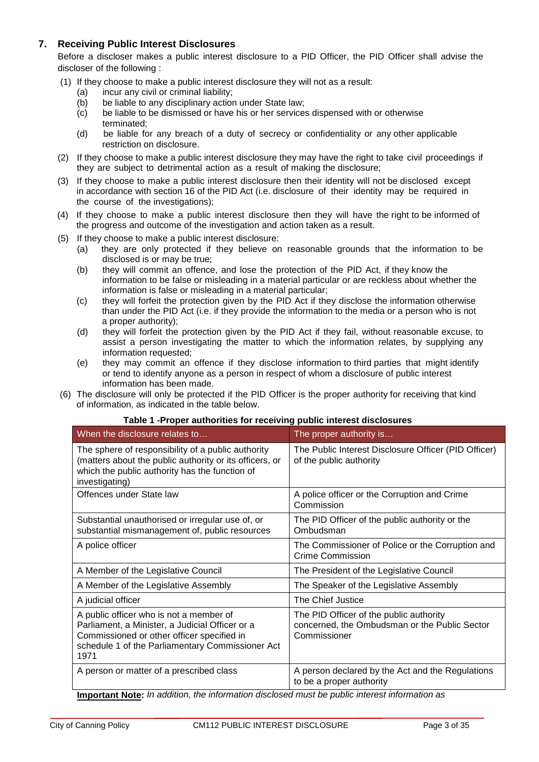# **7. Receiving Public Interest Disclosures**

Before a discloser makes a public interest disclosure to a PID Officer, the PID Officer shall advise the discloser of the following :

- (1) If they choose to make a public interest disclosure they will not as a result:
	- (a) incur any civil or criminal liability;
	- (b) be liable to any disciplinary action under State law;
	- (c) be liable to be dismissed or have his or her services dispensed with or otherwise terminated;
	- (d) be liable for any breach of a duty of secrecy or confidentiality or any other applicable restriction on disclosure.
- (2) If they choose to make a public interest disclosure they may have the right to take civil proceedings if they are subject to detrimental action as a result of making the disclosure;
- (3) If they choose to make a public interest disclosure then their identity will not be disclosed except in accordance with section 16 of the PID Act (i.e. disclosure of their identity may be required in the course of the investigations);
- (4) If they choose to make a public interest disclosure then they will have the right to be informed of the progress and outcome of the investigation and action taken as a result.
- (5) If they choose to make a public interest disclosure:
	- (a) they are only protected if they believe on reasonable grounds that the information to be disclosed is or may be true;
	- (b) they will commit an offence, and lose the protection of the PID Act, if they know the information to be false or misleading in a material particular or are reckless about whether the information is false or misleading in a material particular;
	- (c) they will forfeit the protection given by the PID Act if they disclose the information otherwise than under the PID Act (i.e. if they provide the information to the media or a person who is not a proper authority);
	- (d) they will forfeit the protection given by the PID Act if they fail, without reasonable excuse, to assist a person investigating the matter to which the information relates, by supplying any information requested;
	- (e) they may commit an offence if they disclose information to third parties that might identify or tend to identify anyone as a person in respect of whom a disclosure of public interest information has been made.
- (6) The disclosure will only be protected if the PID Officer is the proper authority for receiving that kind of information, as indicated in the table below.

#### **Table 1 -Proper authorities for receiving public interest disclosures**

| When the disclosure relates to                                                                                                                                                                       | The proper authority is                                                                                  |
|------------------------------------------------------------------------------------------------------------------------------------------------------------------------------------------------------|----------------------------------------------------------------------------------------------------------|
| The sphere of responsibility of a public authority<br>(matters about the public authority or its officers, or<br>which the public authority has the function of<br>investigating)                    | The Public Interest Disclosure Officer (PID Officer)<br>of the public authority                          |
| Offences under State law                                                                                                                                                                             | A police officer or the Corruption and Crime<br>Commission                                               |
| Substantial unauthorised or irregular use of, or<br>substantial mismanagement of, public resources                                                                                                   | The PID Officer of the public authority or the<br>Ombudsman                                              |
| A police officer                                                                                                                                                                                     | The Commissioner of Police or the Corruption and<br><b>Crime Commission</b>                              |
| A Member of the Legislative Council                                                                                                                                                                  | The President of the Legislative Council                                                                 |
| A Member of the Legislative Assembly                                                                                                                                                                 | The Speaker of the Legislative Assembly                                                                  |
| A judicial officer                                                                                                                                                                                   | The Chief Justice                                                                                        |
| A public officer who is not a member of<br>Parliament, a Minister, a Judicial Officer or a<br>Commissioned or other officer specified in<br>schedule 1 of the Parliamentary Commissioner Act<br>1971 | The PID Officer of the public authority<br>concerned, the Ombudsman or the Public Sector<br>Commissioner |
| A person or matter of a prescribed class                                                                                                                                                             | A person declared by the Act and the Regulations<br>to be a proper authority                             |

**Important Note:** *In addition, the information disclosed must be public interest information as*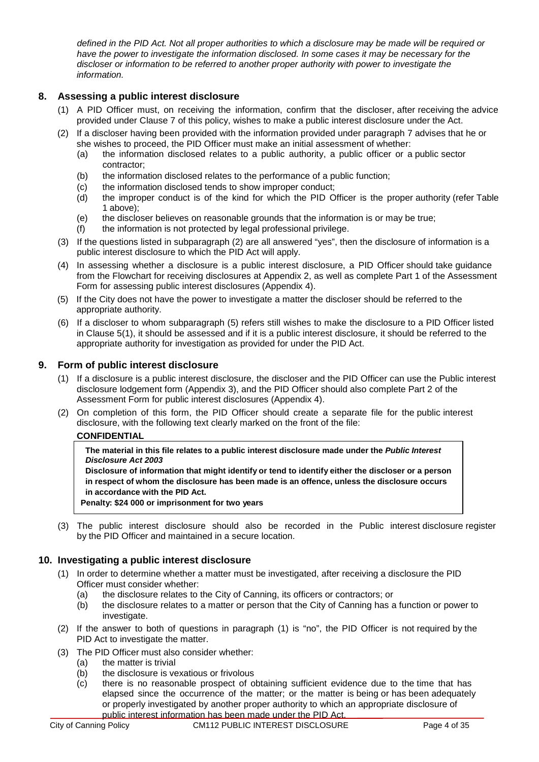*defined in the PID Act. Not all proper authorities to which a disclosure may be made will be required or have the power to investigate the information disclosed. In some cases it may be necessary for the discloser or information to be referred to another proper authority with power to investigate the information.*

### **8. Assessing a public interest disclosure**

- (1) A PID Officer must, on receiving the information, confirm that the discloser, after receiving the advice provided under Clause 7 of this policy, wishes to make a public interest disclosure under the Act.
- (2) If a discloser having been provided with the information provided under paragraph 7 advises that he or she wishes to proceed, the PID Officer must make an initial assessment of whether:
	- (a) the information disclosed relates to a public authority, a public officer or a public sector contractor;
	- (b) the information disclosed relates to the performance of a public function;
	- (c) the information disclosed tends to show improper conduct;
	- (d) the improper conduct is of the kind for which the PID Officer is the proper authority (refer Table 1 above);
	- (e) the discloser believes on reasonable grounds that the information is or may be true;
	- (f) the information is not protected by legal professional privilege.
- (3) If the questions listed in subparagraph (2) are all answered "yes", then the disclosure of information is a public interest disclosure to which the PID Act will apply.
- (4) In assessing whether a disclosure is a public interest disclosure, a PID Officer should take guidance from the Flowchart for receiving disclosures at Appendix 2, as well as complete Part 1 of the Assessment Form for assessing public interest disclosures (Appendix 4).
- (5) If the City does not have the power to investigate a matter the discloser should be referred to the appropriate authority.
- (6) If a discloser to whom subparagraph (5) refers still wishes to make the disclosure to a PID Officer listed in Clause 5(1), it should be assessed and if it is a public interest disclosure, it should be referred to the appropriate authority for investigation as provided for under the PID Act.

#### **9. Form of public interest disclosure**

- (1) If a disclosure is a public interest disclosure, the discloser and the PID Officer can use the Public interest disclosure lodgement form (Appendix 3), and the PID Officer should also complete Part 2 of the Assessment Form for public interest disclosures (Appendix 4).
- (2) On completion of this form, the PID Officer should create a separate file for the public interest disclosure, with the following text clearly marked on the front of the file:

#### **CONFIDENTIAL**

**The material in this file relates to a public interest disclosure made under the** *Public Interest Disclosure Act 2003*

**Disclosure of information that might identify or tend to identify either the discloser or a person in respect of whom the disclosure has been made is an offence, unless the disclosure occurs in accordance with the PID Act.**

**Penalty: \$24 000 or imprisonment for two years**

(3) The public interest disclosure should also be recorded in the Public interest disclosure register by the PID Officer and maintained in a secure location.

#### **10. Investigating a public interest disclosure**

- (1) In order to determine whether a matter must be investigated, after receiving a disclosure the PID Officer must consider whether:
	- (a) the disclosure relates to the City of Canning, its officers or contractors; or
	- (b) the disclosure relates to a matter or person that the City of Canning has a function or power to investigate.
- (2) If the answer to both of questions in paragraph (1) is "no", the PID Officer is not required by the PID Act to investigate the matter.
- (3) The PID Officer must also consider whether:
	- (a) the matter is trivial
	- (b) the disclosure is vexatious or frivolous
	- (c) there is no reasonable prospect of obtaining sufficient evidence due to the time that has elapsed since the occurrence of the matter; or the matter is being or has been adequately or properly investigated by another proper authority to which an appropriate disclosure of public interest information has been made under the PID Act.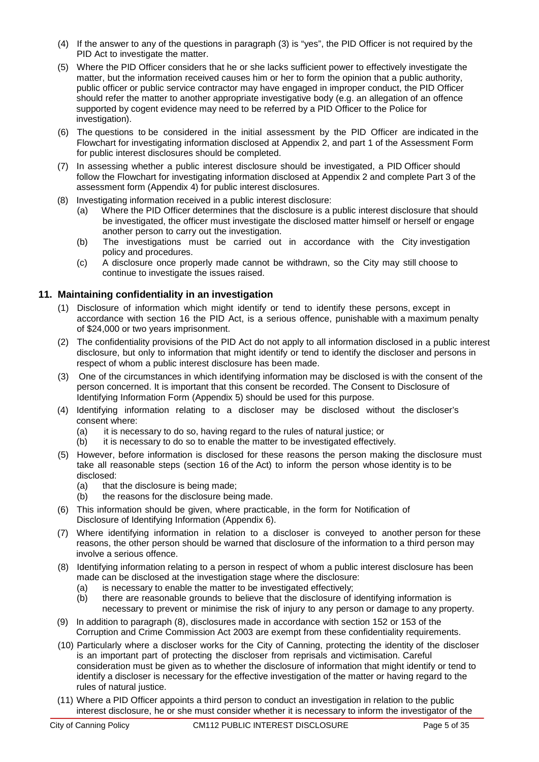- (4) If the answer to any of the questions in paragraph (3) is "yes", the PID Officer is not required by the PID Act to investigate the matter.
- (5) Where the PID Officer considers that he or she lacks sufficient power to effectively investigate the matter, but the information received causes him or her to form the opinion that a public authority, public officer or public service contractor may have engaged in improper conduct, the PID Officer should refer the matter to another appropriate investigative body (e.g. an allegation of an offence supported by cogent evidence may need to be referred by a PID Officer to the Police for investigation).
- (6) The questions to be considered in the initial assessment by the PID Officer are indicated in the Flowchart for investigating information disclosed at Appendix 2, and part 1 of the Assessment Form for public interest disclosures should be completed.
- (7) In assessing whether a public interest disclosure should be investigated, a PID Officer should follow the Flowchart for investigating information disclosed at Appendix 2 and complete Part 3 of the assessment form (Appendix 4) for public interest disclosures.
- (8) Investigating information received in a public interest disclosure:
	- (a) Where the PID Officer determines that the disclosure is a public interest disclosure that should be investigated, the officer must investigate the disclosed matter himself or herself or engage another person to carry out the investigation.
	- (b) The investigations must be carried out in accordance with the City investigation policy and procedures.
	- (c) A disclosure once properly made cannot be withdrawn, so the City may still choose to continue to investigate the issues raised.

# **11. Maintaining confidentiality in an investigation**

- (1) Disclosure of information which might identify or tend to identify these persons, except in accordance with section 16 the PID Act, is a serious offence, punishable with a maximum penalty of \$24,000 or two years imprisonment.
- (2) The confidentiality provisions of the PID Act do not apply to all information disclosed in a public interest disclosure, but only to information that might identify or tend to identify the discloser and persons in respect of whom a public interest disclosure has been made.
- (3) One of the circumstances in which identifying information may be disclosed is with the consent of the person concerned. It is important that this consent be recorded. The Consent to Disclosure of Identifying Information Form (Appendix 5) should be used for this purpose.
- (4) Identifying information relating to a discloser may be disclosed without the discloser's consent where:
	- (a) it is necessary to do so, having regard to the rules of natural justice; or
	- (b) it is necessary to do so to enable the matter to be investigated effectively.
- (5) However, before information is disclosed for these reasons the person making the disclosure must take all reasonable steps (section 16 of the Act) to inform the person whose identity is to be disclosed:
	- (a) that the disclosure is being made;
	- (b) the reasons for the disclosure being made.
- (6) This information should be given, where practicable, in the form for Notification of Disclosure of Identifying Information (Appendix 6).
- (7) Where identifying information in relation to a discloser is conveyed to another person for these reasons, the other person should be warned that disclosure of the information to a third person may involve a serious offence.
- (8) Identifying information relating to a person in respect of whom a public interest disclosure has been made can be disclosed at the investigation stage where the disclosure:
	- (a) is necessary to enable the matter to be investigated effectively;<br>(b) there are reasonable grounds to believe that the disclosure of
	- there are reasonable grounds to believe that the disclosure of identifying information is necessary to prevent or minimise the risk of injury to any person or damage to any property.
- (9) In addition to paragraph (8), disclosures made in accordance with section 152 or 153 of the Corruption and Crime Commission Act 2003 are exempt from these confidentiality requirements.
- (10) Particularly where a discloser works for the City of Canning, protecting the identity of the discloser is an important part of protecting the discloser from reprisals and victimisation. Careful consideration must be given as to whether the disclosure of information that might identify or tend to identify a discloser is necessary for the effective investigation of the matter or having regard to the rules of natural justice.
- (11) Where a PID Officer appoints a third person to conduct an investigation in relation to the public interest disclosure, he or she must consider whether it is necessary to inform the investigator of the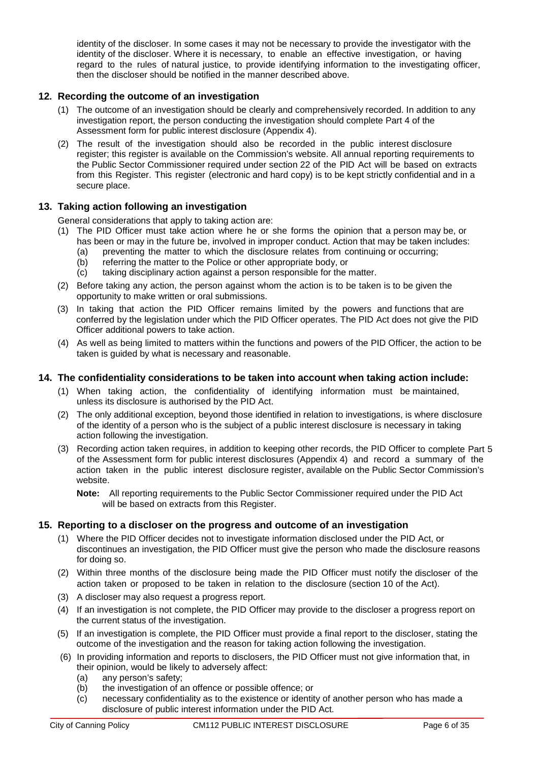identity of the discloser. In some cases it may not be necessary to provide the investigator with the identity of the discloser. Where it is necessary, to enable an effective investigation, or having regard to the rules of natural justice, to provide identifying information to the investigating officer, then the discloser should be notified in the manner described above.

### **12. Recording the outcome of an investigation**

- (1) The outcome of an investigation should be clearly and comprehensively recorded. In addition to any investigation report, the person conducting the investigation should complete Part 4 of the Assessment form for public interest disclosure (Appendix 4).
- (2) The result of the investigation should also be recorded in the public interest disclosure register; this register is available on the Commission's website. All annual reporting requirements to the Public Sector Commissioner required under section 22 of the PID Act will be based on extracts from this Register. This register (electronic and hard copy) is to be kept strictly confidential and in a secure place.

#### **13. Taking action following an investigation**

General considerations that apply to taking action are:

- (1) The PID Officer must take action where he or she forms the opinion that a person may be, or has been or may in the future be, involved in improper conduct. Action that may be taken includes:
	- (a) preventing the matter to which the disclosure relates from continuing or occurring;
	- (b) referring the matter to the Police or other appropriate body, or  $(c)$  taking disciplinary action against a person responsible for the i
	- taking disciplinary action against a person responsible for the matter.
- (2) Before taking any action, the person against whom the action is to be taken is to be given the opportunity to make written or oral submissions.
- (3) In taking that action the PID Officer remains limited by the powers and functions that are conferred by the legislation under which the PID Officer operates. The PID Act does not give the PID Officer additional powers to take action.
- (4) As well as being limited to matters within the functions and powers of the PID Officer, the action to be taken is guided by what is necessary and reasonable.

#### **14. The confidentiality considerations to be taken into account when taking action include:**

- (1) When taking action, the confidentiality of identifying information must be maintained, unless its disclosure is authorised by the PID Act.
- (2) The only additional exception, beyond those identified in relation to investigations, is where disclosure of the identity of a person who is the subject of a public interest disclosure is necessary in taking action following the investigation.
- (3) Recording action taken requires, in addition to keeping other records, the PID Officer to complete Part 5 of the Assessment form for public interest disclosures (Appendix 4) and record a summary of the action taken in the public interest disclosure register, available on the Public Sector Commission's website.

**Note:** All reporting requirements to the Public Sector Commissioner required under the PID Act will be based on extracts from this Register.

#### **15. Reporting to a discloser on the progress and outcome of an investigation**

- (1) Where the PID Officer decides not to investigate information disclosed under the PID Act, or discontinues an investigation, the PID Officer must give the person who made the disclosure reasons for doing so.
- (2) Within three months of the disclosure being made the PID Officer must notify the discloser of the action taken or proposed to be taken in relation to the disclosure (section 10 of the Act).
- (3) A discloser may also request a progress report.
- (4) If an investigation is not complete, the PID Officer may provide to the discloser a progress report on the current status of the investigation.
- (5) If an investigation is complete, the PID Officer must provide a final report to the discloser, stating the outcome of the investigation and the reason for taking action following the investigation.
- (6) In providing information and reports to disclosers, the PID Officer must not give information that, in their opinion, would be likely to adversely affect:
	- (a) any person's safety;
	- (b) the investigation of an offence or possible offence; or
	- (c) necessary confidentiality as to the existence or identity of another person who has made a disclosure of public interest information under the PID Act.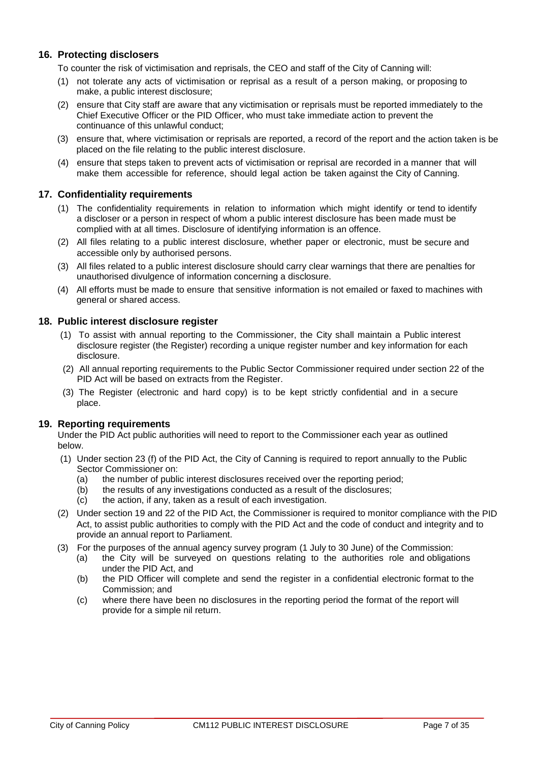# **16. Protecting disclosers**

To counter the risk of victimisation and reprisals, the CEO and staff of the City of Canning will:

- (1) not tolerate any acts of victimisation or reprisal as a result of a person making, or proposing to make, a public interest disclosure;
- (2) ensure that City staff are aware that any victimisation or reprisals must be reported immediately to the Chief Executive Officer or the PID Officer, who must take immediate action to prevent the continuance of this unlawful conduct;
- (3) ensure that, where victimisation or reprisals are reported, a record of the report and the action taken is be placed on the file relating to the public interest disclosure.
- (4) ensure that steps taken to prevent acts of victimisation or reprisal are recorded in a manner that will make them accessible for reference, should legal action be taken against the City of Canning.

#### **17. Confidentiality requirements**

- (1) The confidentiality requirements in relation to information which might identify or tend to identify a discloser or a person in respect of whom a public interest disclosure has been made must be complied with at all times. Disclosure of identifying information is an offence.
- (2) All files relating to a public interest disclosure, whether paper or electronic, must be secure and accessible only by authorised persons.
- (3) All files related to a public interest disclosure should carry clear warnings that there are penalties for unauthorised divulgence of information concerning a disclosure.
- (4) All efforts must be made to ensure that sensitive information is not emailed or faxed to machines with general or shared access.

#### **18. Public interest disclosure register**

- (1) To assist with annual reporting to the Commissioner, the City shall maintain a Public interest disclosure register (the Register) recording a unique register number and key information for each disclosure.
- (2) All annual reporting requirements to the Public Sector Commissioner required under section 22 of the PID Act will be based on extracts from the Register.
- (3) The Register (electronic and hard copy) is to be kept strictly confidential and in a secure place.

#### **19. Reporting requirements**

Under the PID Act public authorities will need to report to the Commissioner each year as outlined below.

- (1) Under section 23 (f) of the PID Act, the City of Canning is required to report annually to the Public Sector Commissioner on:
	- (a) the number of public interest disclosures received over the reporting period;
	- (b) the results of any investigations conducted as a result of the disclosures;
	- (c) the action, if any, taken as a result of each investigation.
- (2) Under section 19 and 22 of the PID Act, the Commissioner is required to monitor compliance with the PID Act, to assist public authorities to comply with the PID Act and the code of conduct and integrity and to provide an annual report to Parliament.
- (3) For the purposes of the annual agency survey program (1 July to 30 June) of the Commission:
	- (a) the City will be surveyed on questions relating to the authorities role and obligations under the PID Act, and
	- (b) the PID Officer will complete and send the register in a confidential electronic format to the Commission; and
	- (c) where there have been no disclosures in the reporting period the format of the report will provide for a simple nil return.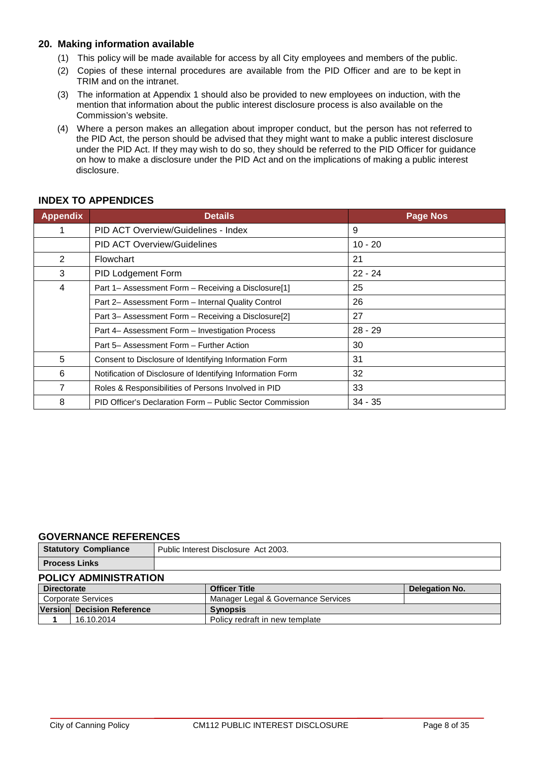# **20. Making information available**

- (1) This policy will be made available for access by all City employees and members of the public.
- (2) Copies of these internal procedures are available from the PID Officer and are to be kept in TRIM and on the intranet.
- (3) The information at Appendix 1 should also be provided to new employees on induction, with the mention that information about the public interest disclosure process is also available on the Commission's website.
- (4) Where a person makes an allegation about improper conduct, but the person has not referred to the PID Act, the person should be advised that they might want to make a public interest disclosure under the PID Act. If they may wish to do so, they should be referred to the PID Officer for guidance on how to make a disclosure under the PID Act and on the implications of making a public interest disclosure.

| <b>Appendix</b> | <b>Details</b>                                             | <b>Page Nos</b> |
|-----------------|------------------------------------------------------------|-----------------|
|                 | PID ACT Overview/Guidelines - Index                        | 9               |
|                 | <b>PID ACT Overview/Guidelines</b>                         | $10 - 20$       |
| 2               | Flowchart                                                  | 21              |
| 3               | PID Lodgement Form                                         | $22 - 24$       |
| 4               | Part 1– Assessment Form – Receiving a Disclosure[1]        | 25              |
|                 | Part 2- Assessment Form - Internal Quality Control         | 26              |
|                 | Part 3- Assessment Form - Receiving a Disclosure[2]        | 27              |
|                 | Part 4– Assessment Form – Investigation Process            | $28 - 29$       |
|                 | Part 5- Assessment Form - Further Action                   | 30              |
| 5               | Consent to Disclosure of Identifying Information Form      | 31              |
| 6               | Notification of Disclosure of Identifying Information Form | 32              |
| 7               | Roles & Responsibilities of Persons Involved in PID        | 33              |
| 8               | PID Officer's Declaration Form - Public Sector Commission  | $34 - 35$       |

# **INDEX TO APPENDICES**

#### **GOVERNANCE REFERENCES**

|                              | <b>Statutory Compliance</b> | Public Interest Disclosure Act 2003. |                       |  |  |
|------------------------------|-----------------------------|--------------------------------------|-----------------------|--|--|
| <b>Process Links</b>         |                             |                                      |                       |  |  |
| <b>POLICY ADMINISTRATION</b> |                             |                                      |                       |  |  |
| <b>Directorate</b>           |                             | <b>Officer Title</b>                 | <b>Delegation No.</b> |  |  |
| <b>Corporate Services</b>    |                             | Manager Legal & Governance Services  |                       |  |  |
|                              | Version Decision Reference  | <b>Synopsis</b>                      |                       |  |  |
|                              | 16.10.2014                  | Policy redraft in new template       |                       |  |  |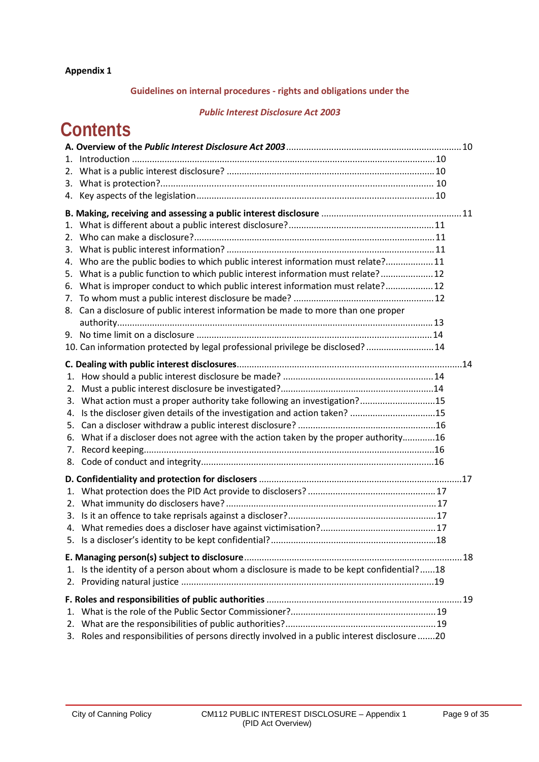# **Guidelines on internal procedures - rights and obligations under the**

#### *Public Interest Disclosure Act 2003*

# **Contents**

| 2. |                                                                                               |  |
|----|-----------------------------------------------------------------------------------------------|--|
|    |                                                                                               |  |
| 4. |                                                                                               |  |
|    |                                                                                               |  |
| 1. |                                                                                               |  |
| 2. |                                                                                               |  |
| 3. |                                                                                               |  |
| 4. | Who are the public bodies to which public interest information must relate?11                 |  |
|    | 5. What is a public function to which public interest information must relate? 12             |  |
| 6. | What is improper conduct to which public interest information must relate? 12                 |  |
| 7. |                                                                                               |  |
| 8. | Can a disclosure of public interest information be made to more than one proper               |  |
|    |                                                                                               |  |
|    |                                                                                               |  |
|    | 10. Can information protected by legal professional privilege be disclosed?  14               |  |
|    |                                                                                               |  |
| 1. |                                                                                               |  |
| 2. |                                                                                               |  |
| 3. | What action must a proper authority take following an investigation?15                        |  |
| 4. | Is the discloser given details of the investigation and action taken? 15                      |  |
| 5. |                                                                                               |  |
| 6. | What if a discloser does not agree with the action taken by the proper authority16            |  |
| 7. |                                                                                               |  |
| 8. |                                                                                               |  |
|    |                                                                                               |  |
| 1. |                                                                                               |  |
| 2. |                                                                                               |  |
| 3. |                                                                                               |  |
|    |                                                                                               |  |
|    |                                                                                               |  |
|    |                                                                                               |  |
|    |                                                                                               |  |
| 1. | Is the identity of a person about whom a disclosure is made to be kept confidential?18        |  |
| 2. |                                                                                               |  |
|    |                                                                                               |  |
| 1. |                                                                                               |  |
| 2. |                                                                                               |  |
|    | 3. Roles and responsibilities of persons directly involved in a public interest disclosure 20 |  |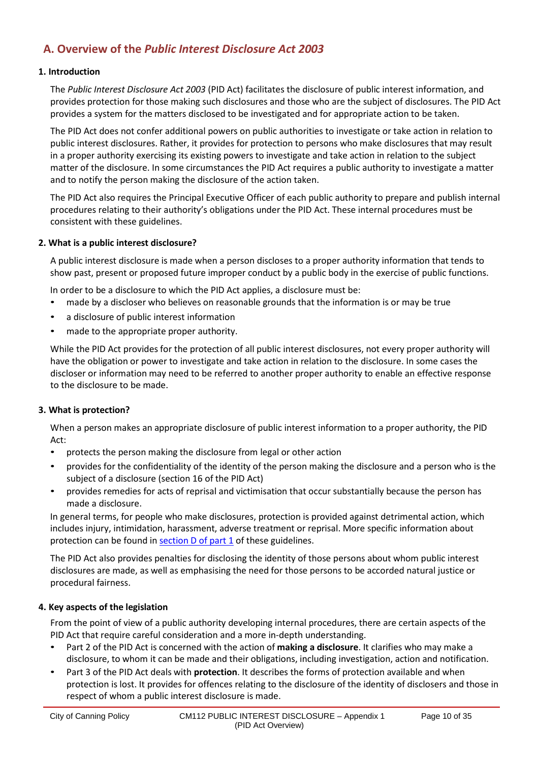# **A. Overview of the** *Public Interest Disclosure Act 2003*

#### **1. Introduction**

The *Public Interest Disclosure Act 2003* (PID Act) facilitates the disclosure of public interest information, and provides protection for those making such disclosures and those who are the subject of disclosures. The PID Act provides a system for the matters disclosed to be investigated and for appropriate action to be taken.

The PID Act does not confer additional powers on public authorities to investigate or take action in relation to public interest disclosures. Rather, it provides for protection to persons who make disclosures that may result in a proper authority exercising its existing powers to investigate and take action in relation to the subject matter of the disclosure. In some circumstances the PID Act requires a public authority to investigate a matter and to notify the person making the disclosure of the action taken.

The PID Act also requires the Principal Executive Officer of each public authority to prepare and publish internal procedures relating to their authority's obligations under the PID Act. These internal procedures must be consistent with these guidelines.

#### **2. What is a public interest disclosure?**

A public interest disclosure is made when a person discloses to a proper authority information that tends to show past, present or proposed future improper conduct by a public body in the exercise of public functions.

In order to be a disclosure to which the PID Act applies, a disclosure must be:

- made by a discloser who believes on reasonable grounds that the information is or may be true
- a disclosure of public interest information
- made to the appropriate proper authority.

While the PID Act provides for the protection of all public interest disclosures, not every proper authority will have the obligation or power to investigate and take action in relation to the disclosure. In some cases the discloser or information may need to be referred to another proper authority to enable an effective response to the disclosure to be made.

#### **3. What is protection?**

When a person makes an appropriate disclosure of public interest information to a proper authority, the PID Act:

- protects the person making the disclosure from legal or other action
- provides for the confidentiality of the identity of the person making the disclosure and a person who is the subject of a disclosure (section 16 of the PID Act)
- provides remedies for acts of reprisal and victimisation that occur substantially because the person has made a disclosure.

In general terms, for people who make disclosures, protection is provided against detrimental action, which includes injury, intimidation, harassment, adverse treatment or reprisal. More specific information about protection can be found in section D of part 1 of these guidelines.

The PID Act also provides penalties for disclosing the identity of those persons about whom public interest disclosures are made, as well as emphasising the need for those persons to be accorded natural justice or procedural fairness.

#### **4. Key aspects of the legislation**

From the point of view of a public authority developing internal procedures, there are certain aspects of the PID Act that require careful consideration and a more in-depth understanding.

- Part 2 of the PID Act is concerned with the action of **making a disclosure**. It clarifies who may make a disclosure, to whom it can be made and their obligations, including investigation, action and notification.
- Part 3 of the PID Act deals with **protection**. It describes the forms of protection available and when protection is lost. It provides for offences relating to the disclosure of the identity of disclosers and those in respect of whom a public interest disclosure is made.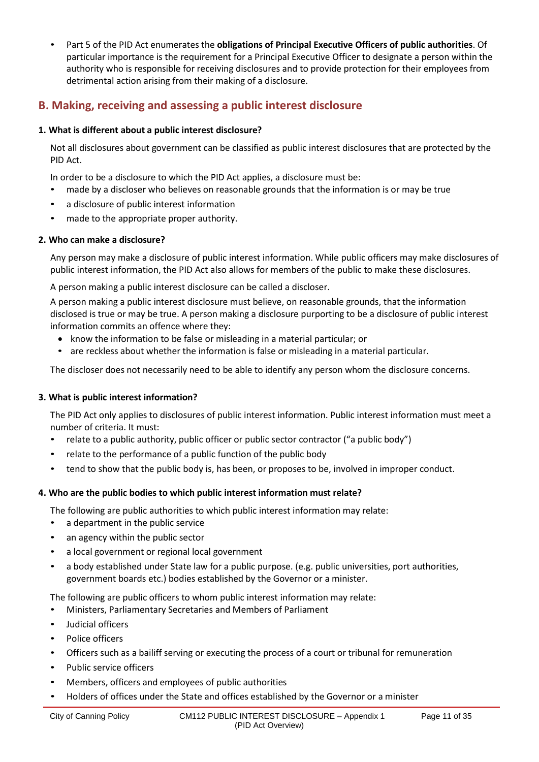• Part 5 of the PID Act enumerates the **obligations of Principal Executive Officers of public authorities**. Of particular importance is the requirement for a Principal Executive Officer to designate a person within the authority who is responsible for receiving disclosures and to provide protection for their employees from detrimental action arising from their making of a disclosure.

# **B. Making, receiving and assessing a public interest disclosure**

# **1. What is different about a public interest disclosure?**

Not all disclosures about government can be classified as public interest disclosures that are protected by the PID Act.

In order to be a disclosure to which the PID Act applies, a disclosure must be:

- made by a discloser who believes on reasonable grounds that the information is or may be true
- a disclosure of public interest information
- made to the appropriate proper authority.

# **2. Who can make a disclosure?**

Any person may make a disclosure of public interest information. While public officers may make disclosures of public interest information, the PID Act also allows for members of the public to make these disclosures.

A person making a public interest disclosure can be called a discloser.

A person making a public interest disclosure must believe, on reasonable grounds, that the information disclosed is true or may be true. A person making a disclosure purporting to be a disclosure of public interest information commits an offence where they:

- know the information to be false or misleading in a material particular; or
- are reckless about whether the information is false or misleading in a material particular.

The discloser does not necessarily need to be able to identify any person whom the disclosure concerns.

# **3. What is public interest information?**

The PID Act only applies to disclosures of public interest information. Public interest information must meet a number of criteria. It must:

- relate to a public authority, public officer or public sector contractor ("a public body")
- relate to the performance of a public function of the public body
- tend to show that the public body is, has been, or proposes to be, involved in improper conduct.

# **4. Who are the public bodies to which public interest information must relate?**

The following are public authorities to which public interest information may relate:

- a department in the public service
- an agency within the public sector
- a local government or regional local government
- a body established under State law for a public purpose. (e.g. public universities, port authorities, government boards etc.) bodies established by the Governor or a minister.

The following are public officers to whom public interest information may relate:

- Ministers, Parliamentary Secretaries and Members of Parliament
- Judicial officers
- Police officers
- Officers such as a bailiff serving or executing the process of a court or tribunal for remuneration
- Public service officers
- Members, officers and employees of public authorities
- Holders of offices under the State and offices established by the Governor or a minister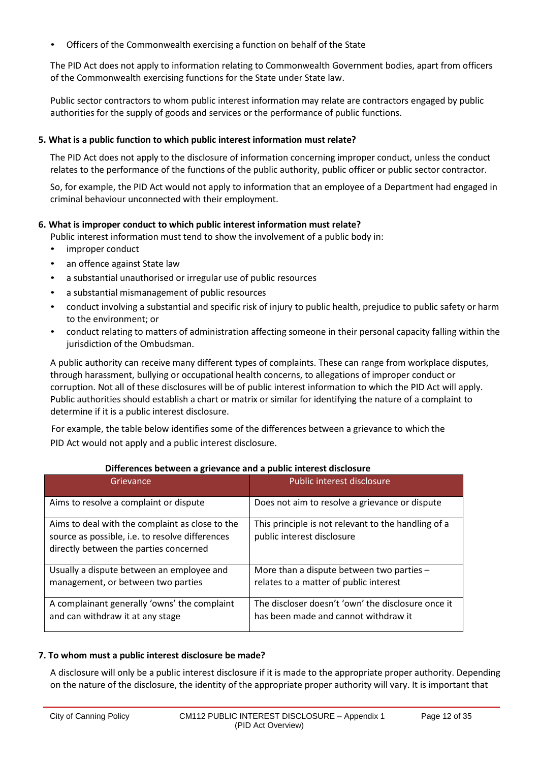• Officers of the Commonwealth exercising a function on behalf of the State

The PID Act does not apply to information relating to Commonwealth Government bodies, apart from officers of the Commonwealth exercising functions for the State under State law.

Public sector contractors to whom public interest information may relate are contractors engaged by public authorities for the supply of goods and services or the performance of public functions.

### **5. What is a public function to which public interest information must relate?**

The PID Act does not apply to the disclosure of information concerning improper conduct, unless the conduct relates to the performance of the functions of the public authority, public officer or public sector contractor.

So, for example, the PID Act would not apply to information that an employee of a Department had engaged in criminal behaviour unconnected with their employment.

#### **6. What is improper conduct to which public interest information must relate?**

- Public interest information must tend to show the involvement of a public body in:
- improper conduct
- an offence against State law
- a substantial unauthorised or irregular use of public resources
- a substantial mismanagement of public resources
- conduct involving a substantial and specific risk of injury to public health, prejudice to public safety or harm to the environment; or
- conduct relating to matters of administration affecting someone in their personal capacity falling within the jurisdiction of the Ombudsman.

A public authority can receive many different types of complaints. These can range from workplace disputes, through harassment, bullying or occupational health concerns, to allegations of improper conduct or corruption. Not all of these disclosures will be of public interest information to which the PID Act will apply. Public authorities should establish a chart or matrix or similar for identifying the nature of a complaint to determine if it is a public interest disclosure.

For example, the table below identifies some of the differences between a grievance to which the PID Act would not apply and a public interest disclosure.

| Grievance                                                                                                                                    | Public interest disclosure                                                                 |
|----------------------------------------------------------------------------------------------------------------------------------------------|--------------------------------------------------------------------------------------------|
| Aims to resolve a complaint or dispute                                                                                                       | Does not aim to resolve a grievance or dispute                                             |
| Aims to deal with the complaint as close to the<br>source as possible, i.e. to resolve differences<br>directly between the parties concerned | This principle is not relevant to the handling of a<br>public interest disclosure          |
| Usually a dispute between an employee and<br>management, or between two parties                                                              | More than a dispute between two parties $-$<br>relates to a matter of public interest      |
| A complainant generally 'owns' the complaint<br>and can withdraw it at any stage                                                             | The discloser doesn't 'own' the disclosure once it<br>has been made and cannot withdraw it |

#### **Differences between a grievance and a public interest disclosure**

#### **7. To whom must a public interest disclosure be made?**

A disclosure will only be a public interest disclosure if it is made to the appropriate proper authority. Depending on the nature of the disclosure, the identity of the appropriate proper authority will vary. It is important that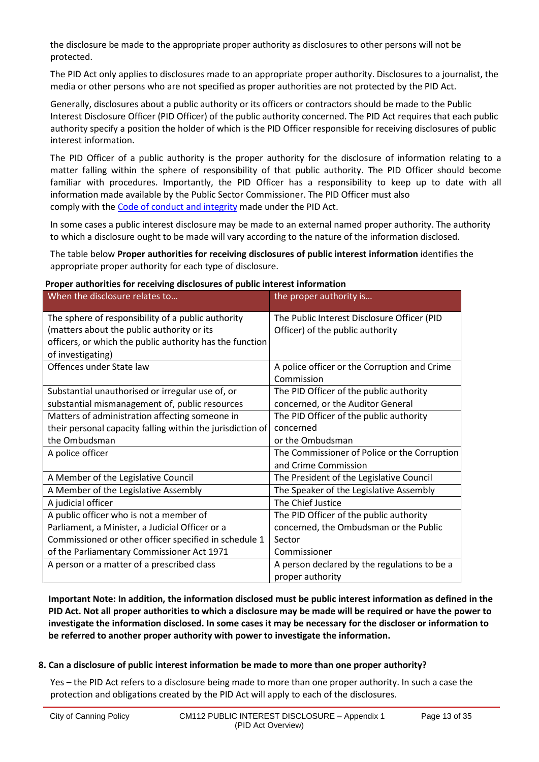the disclosure be made to the appropriate proper authority as disclosures to other persons will not be protected.

The PID Act only applies to disclosures made to an appropriate proper authority. Disclosures to a journalist, the media or other persons who are not specified as proper authorities are not protected by the PID Act.

Generally, disclosures about a public authority or its officers or contractors should be made to the Public Interest Disclosure Officer (PID Officer) of the public authority concerned. The PID Act requires that each public authority specify a position the holder of which is the PID Officer responsible for receiving disclosures of public interest information.

The PID Officer of a public authority is the proper authority for the disclosure of information relating to a matter falling within the sphere of responsibility of that public authority. The PID Officer should become familiar with procedures. Importantly, the PID Officer has a responsibility to keep up to date with all information made available by the Public Sector Commissioner. The PID Officer must also comply with the Code of conduct and integrity made under the PID Act.

In some cases a public interest disclosure may be made to an external named proper authority. The authority to which a disclosure ought to be made will vary according to the nature of the information disclosed.

The table below **Proper authorities for receiving disclosures of public interest information** identifies the appropriate proper authority for each type of disclosure.

| Proper authorities for receiving disclosures of public interest information |  |
|-----------------------------------------------------------------------------|--|
|-----------------------------------------------------------------------------|--|

| When the disclosure relates to                             | the proper authority is                      |
|------------------------------------------------------------|----------------------------------------------|
| The sphere of responsibility of a public authority         | The Public Interest Disclosure Officer (PID  |
| (matters about the public authority or its                 | Officer) of the public authority             |
| officers, or which the public authority has the function   |                                              |
| of investigating)                                          |                                              |
| Offences under State law                                   | A police officer or the Corruption and Crime |
|                                                            | Commission                                   |
| Substantial unauthorised or irregular use of, or           | The PID Officer of the public authority      |
| substantial mismanagement of, public resources             | concerned, or the Auditor General            |
| Matters of administration affecting someone in             | The PID Officer of the public authority      |
| their personal capacity falling within the jurisdiction of | concerned                                    |
| the Ombudsman                                              | or the Ombudsman                             |
| A police officer                                           | The Commissioner of Police or the Corruption |
|                                                            | and Crime Commission                         |
| A Member of the Legislative Council                        | The President of the Legislative Council     |
| A Member of the Legislative Assembly                       | The Speaker of the Legislative Assembly      |
| A judicial officer                                         | The Chief Justice                            |
| A public officer who is not a member of                    | The PID Officer of the public authority      |
| Parliament, a Minister, a Judicial Officer or a            | concerned, the Ombudsman or the Public       |
| Commissioned or other officer specified in schedule 1      | Sector                                       |
| of the Parliamentary Commissioner Act 1971                 | Commissioner                                 |
| A person or a matter of a prescribed class                 | A person declared by the regulations to be a |
|                                                            | proper authority                             |

**Important Note: In addition, the information disclosed must be public interest information as defined in the PID Act. Not all proper authorities to which a disclosure may be made will be required or have the power to investigate the information disclosed. In some cases it may be necessary for the discloser or information to be referred to another proper authority with power to investigate the information.**

#### **8. Can a disclosure of public interest information be made to more than one proper authority?**

Yes – the PID Act refers to a disclosure being made to more than one proper authority. In such a case the protection and obligations created by the PID Act will apply to each of the disclosures.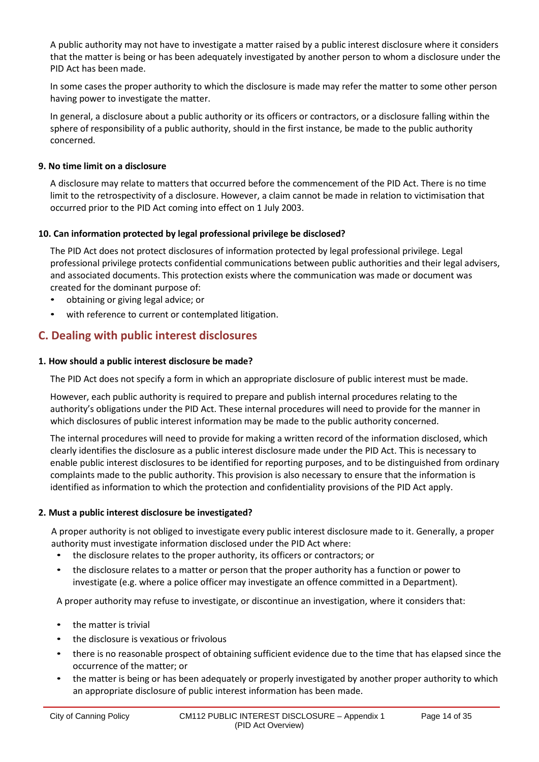A public authority may not have to investigate a matter raised by a public interest disclosure where it considers that the matter is being or has been adequately investigated by another person to whom a disclosure under the PID Act has been made.

In some cases the proper authority to which the disclosure is made may refer the matter to some other person having power to investigate the matter.

In general, a disclosure about a public authority or its officers or contractors, or a disclosure falling within the sphere of responsibility of a public authority, should in the first instance, be made to the public authority concerned.

# **9. No time limit on a disclosure**

A disclosure may relate to matters that occurred before the commencement of the PID Act. There is no time limit to the retrospectivity of a disclosure. However, a claim cannot be made in relation to victimisation that occurred prior to the PID Act coming into effect on 1 July 2003.

#### **10. Can information protected by legal professional privilege be disclosed?**

The PID Act does not protect disclosures of information protected by legal professional privilege. Legal professional privilege protects confidential communications between public authorities and their legal advisers, and associated documents. This protection exists where the communication was made or document was created for the dominant purpose of:

- obtaining or giving legal advice; or
- with reference to current or contemplated litigation.

# **C. Dealing with public interest disclosures**

#### **1. How should a public interest disclosure be made?**

The PID Act does not specify a form in which an appropriate disclosure of public interest must be made.

However, each public authority is required to prepare and publish internal procedures relating to the authority's obligations under the PID Act. These internal procedures will need to provide for the manner in which disclosures of public interest information may be made to the public authority concerned.

The internal procedures will need to provide for making a written record of the information disclosed, which clearly identifies the disclosure as a public interest disclosure made under the PID Act. This is necessary to enable public interest disclosures to be identified for reporting purposes, and to be distinguished from ordinary complaints made to the public authority. This provision is also necessary to ensure that the information is identified as information to which the protection and confidentiality provisions of the PID Act apply.

#### **2. Must a public interest disclosure be investigated?**

A proper authority is not obliged to investigate every public interest disclosure made to it. Generally, a proper authority must investigate information disclosed under the PID Act where:

- the disclosure relates to the proper authority, its officers or contractors; or
- the disclosure relates to a matter or person that the proper authority has a function or power to investigate (e.g. where a police officer may investigate an offence committed in a Department).

A proper authority may refuse to investigate, or discontinue an investigation, where it considers that:

- the matter is trivial
- the disclosure is vexatious or frivolous
- there is no reasonable prospect of obtaining sufficient evidence due to the time that has elapsed since the occurrence of the matter; or
- the matter is being or has been adequately or properly investigated by another proper authority to which an appropriate disclosure of public interest information has been made.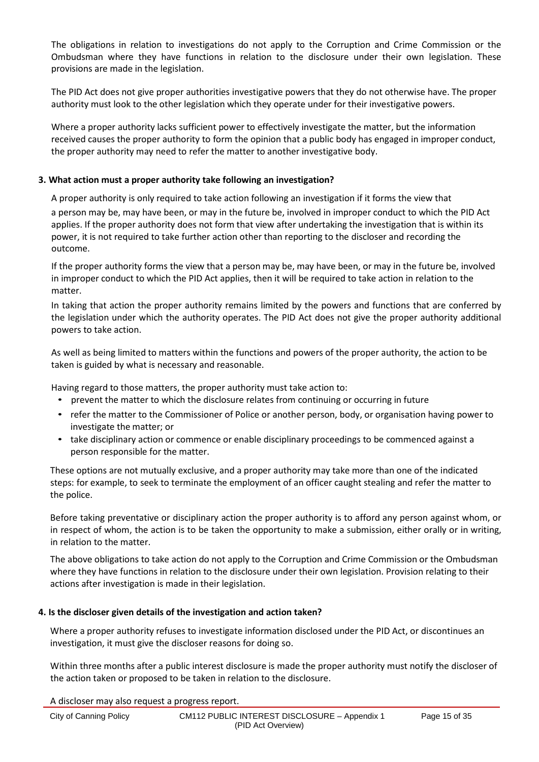The obligations in relation to investigations do not apply to the Corruption and Crime Commission or the Ombudsman where they have functions in relation to the disclosure under their own legislation. These provisions are made in the legislation.

The PID Act does not give proper authorities investigative powers that they do not otherwise have. The proper authority must look to the other legislation which they operate under for their investigative powers.

Where a proper authority lacks sufficient power to effectively investigate the matter, but the information received causes the proper authority to form the opinion that a public body has engaged in improper conduct, the proper authority may need to refer the matter to another investigative body.

#### **3. What action must a proper authority take following an investigation?**

A proper authority is only required to take action following an investigation if it forms the view that

a person may be, may have been, or may in the future be, involved in improper conduct to which the PID Act applies. If the proper authority does not form that view after undertaking the investigation that is within its power, it is not required to take further action other than reporting to the discloser and recording the outcome.

If the proper authority forms the view that a person may be, may have been, or may in the future be, involved in improper conduct to which the PID Act applies, then it will be required to take action in relation to the matter.

In taking that action the proper authority remains limited by the powers and functions that are conferred by the legislation under which the authority operates. The PID Act does not give the proper authority additional powers to take action.

As well as being limited to matters within the functions and powers of the proper authority, the action to be taken is guided by what is necessary and reasonable.

Having regard to those matters, the proper authority must take action to:

- prevent the matter to which the disclosure relates from continuing or occurring in future
- refer the matter to the Commissioner of Police or another person, body, or organisation having power to investigate the matter; or
- take disciplinary action or commence or enable disciplinary proceedings to be commenced against a person responsible for the matter.

These options are not mutually exclusive, and a proper authority may take more than one of the indicated steps: for example, to seek to terminate the employment of an officer caught stealing and refer the matter to the police.

Before taking preventative or disciplinary action the proper authority is to afford any person against whom, or in respect of whom, the action is to be taken the opportunity to make a submission, either orally or in writing, in relation to the matter.

The above obligations to take action do not apply to the Corruption and Crime Commission or the Ombudsman where they have functions in relation to the disclosure under their own legislation. Provision relating to their actions after investigation is made in their legislation.

#### **4. Is the discloser given details of the investigation and action taken?**

Where a proper authority refuses to investigate information disclosed under the PID Act, or discontinues an investigation, it must give the discloser reasons for doing so.

Within three months after a public interest disclosure is made the proper authority must notify the discloser of the action taken or proposed to be taken in relation to the disclosure.

A discloser may also request a progress report.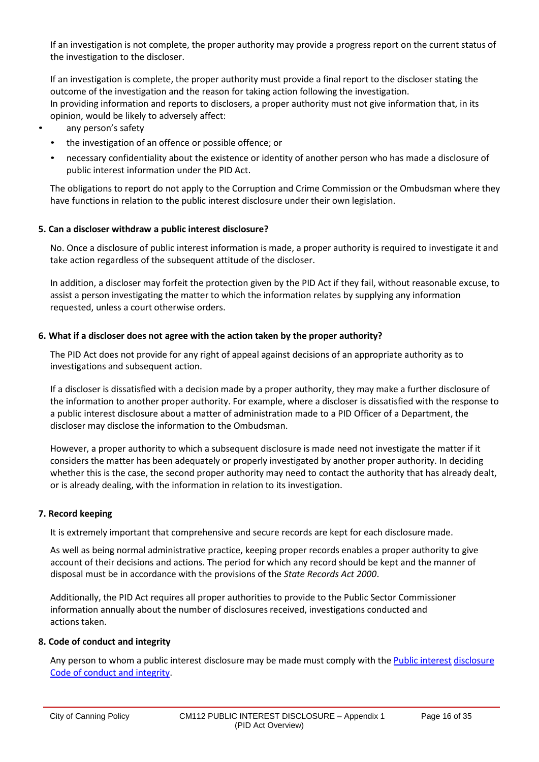If an investigation is not complete, the proper authority may provide a progress report on the current status of the investigation to the discloser.

If an investigation is complete, the proper authority must provide a final report to the discloser stating the outcome of the investigation and the reason for taking action following the investigation. In providing information and reports to disclosers, a proper authority must not give information that, in its opinion, would be likely to adversely affect:

- any person's safety
	- the investigation of an offence or possible offence; or
	- necessary confidentiality about the existence or identity of another person who has made a disclosure of public interest information under the PID Act.

The obligations to report do not apply to the Corruption and Crime Commission or the Ombudsman where they have functions in relation to the public interest disclosure under their own legislation.

#### **5. Can a discloser withdraw a public interest disclosure?**

No. Once a disclosure of public interest information is made, a proper authority is required to investigate it and take action regardless of the subsequent attitude of the discloser.

In addition, a discloser may forfeit the protection given by the PID Act if they fail, without reasonable excuse, to assist a person investigating the matter to which the information relates by supplying any information requested, unless a court otherwise orders.

#### **6. What if a discloser does not agree with the action taken by the proper authority?**

The PID Act does not provide for any right of appeal against decisions of an appropriate authority as to investigations and subsequent action.

If a discloser is dissatisfied with a decision made by a proper authority, they may make a further disclosure of the information to another proper authority. For example, where a discloser is dissatisfied with the response to a public interest disclosure about a matter of administration made to a PID Officer of a Department, the discloser may disclose the information to the Ombudsman.

However, a proper authority to which a subsequent disclosure is made need not investigate the matter if it considers the matter has been adequately or properly investigated by another proper authority. In deciding whether this is the case, the second proper authority may need to contact the authority that has already dealt, or is already dealing, with the information in relation to its investigation.

#### **7. Record keeping**

It is extremely important that comprehensive and secure records are kept for each disclosure made.

As well as being normal administrative practice, keeping proper records enables a proper authority to give account of their decisions and actions. The period for which any record should be kept and the manner of disposal must be in accordance with the provisions of the *State Records Act 2000*.

Additionally, the PID Act requires all proper authorities to provide to the Public Sector Commissioner information annually about the number of disclosures received, investigations conducted and actions taken.

### **8. Code of conduct and integrity**

Any person to whom a public interest disclosure may be made must comply with the Public interest disclosure Code of conduct and integrity.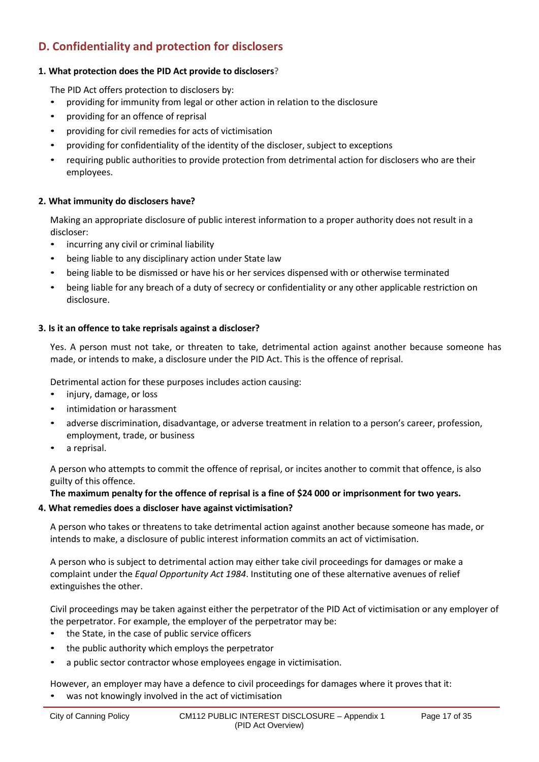# **D. Confidentiality and protection for disclosers**

# **1. What protection does the PID Act provide to disclosers?**

The PID Act offers protection to disclosers by:

- providing for immunity from legal or other action in relation to the disclosure
- providing for an offence of reprisal
- providing for civil remedies for acts of victimisation
- providing for confidentiality of the identity of the discloser, subject to exceptions
- requiring public authorities to provide protection from detrimental action for disclosers who are their employees.

# **2. What immunity do disclosers have?**

Making an appropriate disclosure of public interest information to a proper authority does not result in a discloser:

- incurring any civil or criminal liability
- being liable to any disciplinary action under State law
- being liable to be dismissed or have his or her services dispensed with or otherwise terminated
- being liable for any breach of a duty of secrecy or confidentiality or any other applicable restriction on disclosure.

#### **3. Is it an offence to take reprisals against a discloser?**

Yes. A person must not take, or threaten to take, detrimental action against another because someone has made, or intends to make, a disclosure under the PID Act. This is the offence of reprisal.

Detrimental action for these purposes includes action causing:

- injury, damage, or loss
- intimidation or harassment
- adverse discrimination, disadvantage, or adverse treatment in relation to a person's career, profession, employment, trade, or business
- a reprisal.

A person who attempts to commit the offence of reprisal, or incites another to commit that offence, is also guilty of this offence.

**The maximum penalty for the offence of reprisal is a fine of \$24 000 or imprisonment for two years.**

# **4. What remedies does a discloser have against victimisation?**

A person who takes or threatens to take detrimental action against another because someone has made, or intends to make, a disclosure of public interest information commits an act of victimisation.

A person who is subject to detrimental action may either take civil proceedings for damages or make a complaint under the *Equal Opportunity Act 1984*. Instituting one of these alternative avenues of relief extinguishes the other.

Civil proceedings may be taken against either the perpetrator of the PID Act of victimisation or any employer of the perpetrator. For example, the employer of the perpetrator may be:

- the State, in the case of public service officers
- the public authority which employs the perpetrator
- a public sector contractor whose employees engage in victimisation.

However, an employer may have a defence to civil proceedings for damages where it proves that it: was not knowingly involved in the act of victimisation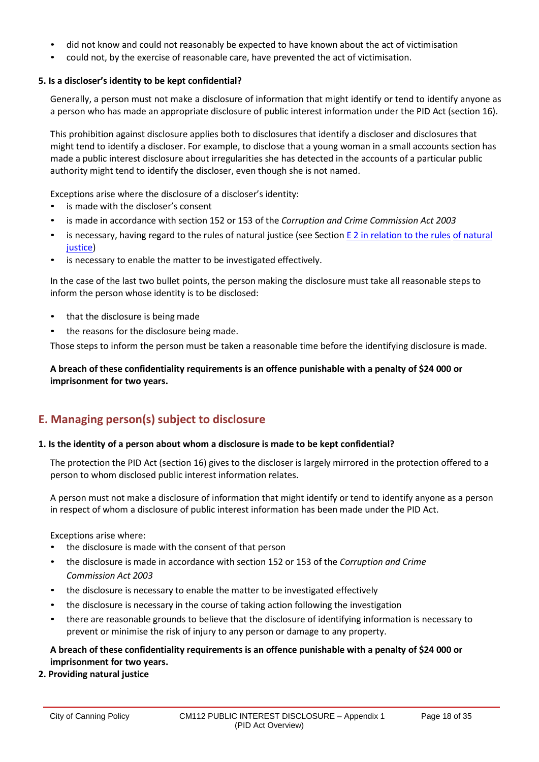- did not know and could not reasonably be expected to have known about the act of victimisation
- could not, by the exercise of reasonable care, have prevented the act of victimisation.

# **5. Is a discloser's identity to be kept confidential?**

Generally, a person must not make a disclosure of information that might identify or tend to identify anyone as a person who has made an appropriate disclosure of public interest information under the PID Act (section 16).

This prohibition against disclosure applies both to disclosures that identify a discloser and disclosures that might tend to identify a discloser. For example, to disclose that a young woman in a small accounts section has made a public interest disclosure about irregularities she has detected in the accounts of a particular public authority might tend to identify the discloser, even though she is not named.

Exceptions arise where the disclosure of a discloser's identity:

- is made with the discloser's consent
- is made in accordance with section 152 or 153 of the *Corruption and Crime Commission Act 2003*
- is necessary, having regard to the rules of natural justice (see Section E 2 in relation to the rules of natural justice)
- is necessary to enable the matter to be investigated effectively.

In the case of the last two bullet points, the person making the disclosure must take all reasonable steps to inform the person whose identity is to be disclosed:

- that the disclosure is being made
- the reasons for the disclosure being made.

Those steps to inform the person must be taken a reasonable time before the identifying disclosure is made.

# **A breach of these confidentiality requirements is an offence punishable with a penalty of \$24 000 or imprisonment for two years.**

# **E. Managing person(s) subject to disclosure**

#### **1. Is the identity of a person about whom a disclosure is made to be kept confidential?**

The protection the PID Act (section 16) gives to the discloser is largely mirrored in the protection offered to a person to whom disclosed public interest information relates.

A person must not make a disclosure of information that might identify or tend to identify anyone as a person in respect of whom a disclosure of public interest information has been made under the PID Act.

Exceptions arise where:

- the disclosure is made with the consent of that person
- the disclosure is made in accordance with section 152 or 153 of the *Corruption and Crime Commission Act 2003*
- the disclosure is necessary to enable the matter to be investigated effectively
- the disclosure is necessary in the course of taking action following the investigation
- there are reasonable grounds to believe that the disclosure of identifying information is necessary to prevent or minimise the risk of injury to any person or damage to any property.

# **A breach of these confidentiality requirements is an offence punishable with a penalty of \$24 000 or imprisonment for two years.**

**2. Providing natural justice**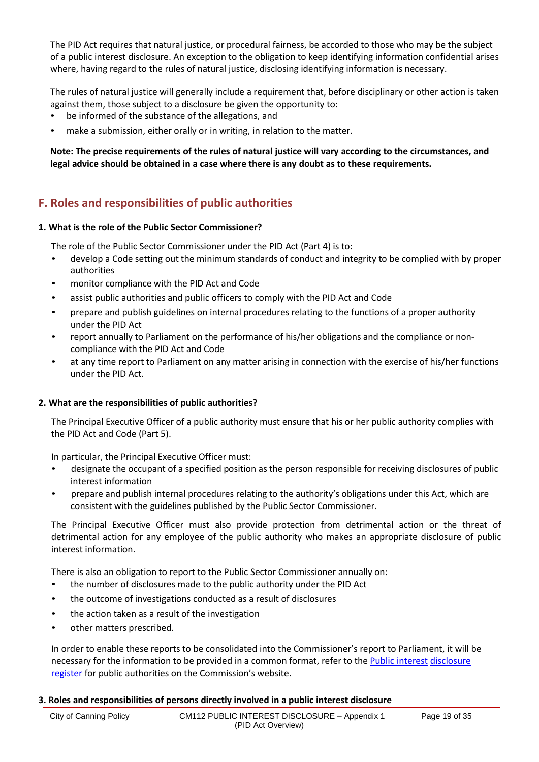The PID Act requires that natural justice, or procedural fairness, be accorded to those who may be the subject of a public interest disclosure. An exception to the obligation to keep identifying information confidential arises where, having regard to the rules of natural justice, disclosing identifying information is necessary.

The rules of natural justice will generally include a requirement that, before disciplinary or other action is taken against them, those subject to a disclosure be given the opportunity to:

- be informed of the substance of the allegations, and
- make a submission, either orally or in writing, in relation to the matter.

# **Note: The precise requirements of the rules of natural justice will vary according to the circumstances, and legal advice should be obtained in a case where there is any doubt as to these requirements.**

# **F. Roles and responsibilities of public authorities**

# **1. What is the role of the Public Sector Commissioner?**

The role of the Public Sector Commissioner under the PID Act (Part 4) is to:

- develop a Code setting out the minimum standards of conduct and integrity to be complied with by proper authorities
- monitor compliance with the PID Act and Code
- assist public authorities and public officers to comply with the PID Act and Code
- prepare and publish guidelines on internal procedures relating to the functions of a proper authority under the PID Act
- report annually to Parliament on the performance of his/her obligations and the compliance or noncompliance with the PID Act and Code
- at any time report to Parliament on any matter arising in connection with the exercise of his/her functions under the PID Act.

# **2. What are the responsibilities of public authorities?**

The Principal Executive Officer of a public authority must ensure that his or her public authority complies with the PID Act and Code (Part 5).

In particular, the Principal Executive Officer must:

- designate the occupant of a specified position as the person responsible for receiving disclosures of public interest information
- prepare and publish internal procedures relating to the authority's obligations under this Act, which are consistent with the guidelines published by the Public Sector Commissioner.

The Principal Executive Officer must also provide protection from detrimental action or the threat of detrimental action for any employee of the public authority who makes an appropriate disclosure of public interest information.

There is also an obligation to report to the Public Sector Commissioner annually on:

- the number of disclosures made to the public authority under the PID Act
- the outcome of investigations conducted as a result of disclosures
- the action taken as a result of the investigation
- other matters prescribed.

In order to enable these reports to be consolidated into the Commissioner's report to Parliament, it will be necessary for the information to be provided in a common format, refer to the Public [interest](http://www.publicsector.wa.gov.au/public-administration/official-conduct-and-integrity/public-interest-disclosures/information-public-authorities) [disclosure](http://www.publicsector.wa.gov.au/public-administration/official-conduct-and-integrity/public-interest-disclosures/information-public-authorities) [register](http://www.publicsector.wa.gov.au/public-administration/official-conduct-and-integrity/public-interest-disclosures/information-public-authorities) for public authorities on the Commission's website.

# **3. Roles and responsibilities of persons directly involved in a public interest disclosure**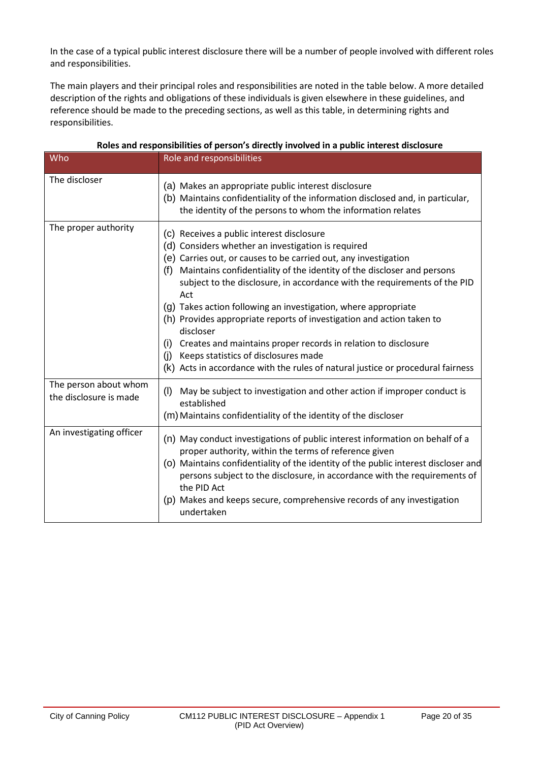In the case of a typical public interest disclosure there will be a number of people involved with different roles and responsibilities.

The main players and their principal roles and responsibilities are noted in the table below. A more detailed description of the rights and obligations of these individuals is given elsewhere in these guidelines, and reference should be made to the preceding sections, as well as this table, in determining rights and responsibilities.

| Who                                             | Role and responsibilities                                                                                                                                                                                                                                                                                                                                                                                                                                                                                                                                                                                                                                                                                  |
|-------------------------------------------------|------------------------------------------------------------------------------------------------------------------------------------------------------------------------------------------------------------------------------------------------------------------------------------------------------------------------------------------------------------------------------------------------------------------------------------------------------------------------------------------------------------------------------------------------------------------------------------------------------------------------------------------------------------------------------------------------------------|
| The discloser                                   | (a) Makes an appropriate public interest disclosure<br>(b) Maintains confidentiality of the information disclosed and, in particular,<br>the identity of the persons to whom the information relates                                                                                                                                                                                                                                                                                                                                                                                                                                                                                                       |
| The proper authority                            | (c) Receives a public interest disclosure<br>(d) Considers whether an investigation is required<br>(e) Carries out, or causes to be carried out, any investigation<br>Maintains confidentiality of the identity of the discloser and persons<br>(f)<br>subject to the disclosure, in accordance with the requirements of the PID<br>Act<br>(g) Takes action following an investigation, where appropriate<br>(h) Provides appropriate reports of investigation and action taken to<br>discloser<br>Creates and maintains proper records in relation to disclosure<br>(i)<br>Keeps statistics of disclosures made<br>(i)<br>(k) Acts in accordance with the rules of natural justice or procedural fairness |
| The person about whom<br>the disclosure is made | (1)<br>May be subject to investigation and other action if improper conduct is<br>established<br>(m) Maintains confidentiality of the identity of the discloser                                                                                                                                                                                                                                                                                                                                                                                                                                                                                                                                            |
| An investigating officer                        | (n) May conduct investigations of public interest information on behalf of a<br>proper authority, within the terms of reference given<br>(o) Maintains confidentiality of the identity of the public interest discloser and<br>persons subject to the disclosure, in accordance with the requirements of<br>the PID Act<br>(p) Makes and keeps secure, comprehensive records of any investigation<br>undertaken                                                                                                                                                                                                                                                                                            |

# **Roles and responsibilities of person's directly involved in a public interest disclosure**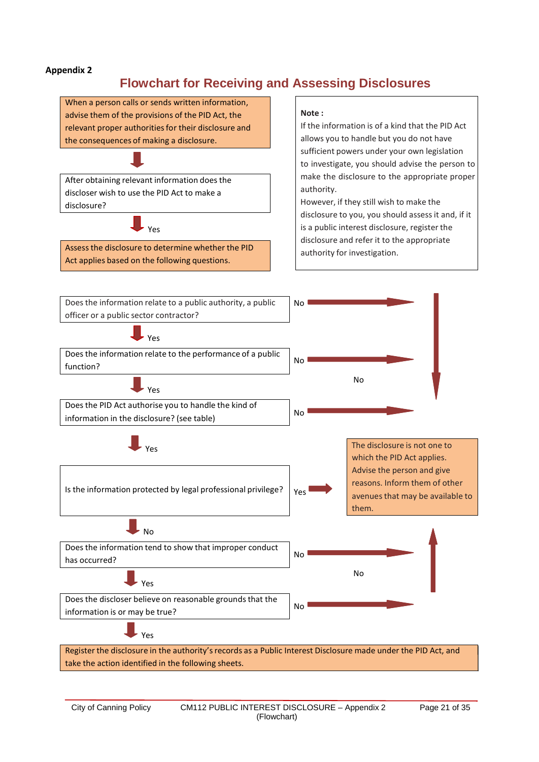# **Flowchart for Receiving and Assessing Disclosures**

When a person calls or sends written information, advise them of the provisions of the PID Act, the relevant proper authorities for their disclosure and the consequences of making a disclosure.

After obtaining relevant information does the discloser wish to use the PID Act to make a disclosure?

Yes

Assessthe disclosure to determine whether the PID Act applies based on the following questions.

#### **Note :**

If the information is of a kind that the PID Act allows you to handle but you do not have sufficient powers under your own legislation to investigate, you should advise the person to make the disclosure to the appropriate proper authority.

However, if they still wish to make the disclosure to you, you should assess it and, if it is a public interest disclosure, register the disclosure and refer it to the appropriate authority for investigation.

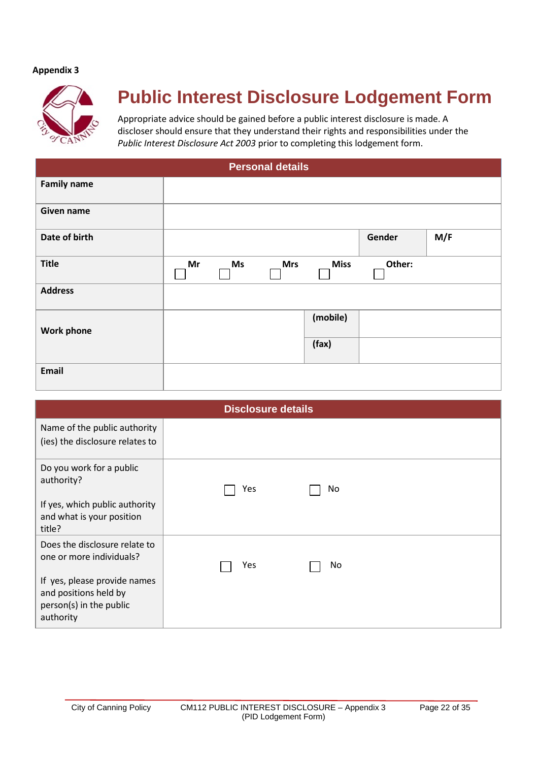

# **Public Interest Disclosure Lodgement Form**

Appropriate advice should be gained before a public interest disclosure is made. A discloser should ensure that they understand their rights and responsibilities under the *Public Interest Disclosure Act 2003* prior to completing this lodgement form.

| <b>Personal details</b> |    |    |            |             |        |     |
|-------------------------|----|----|------------|-------------|--------|-----|
| <b>Family name</b>      |    |    |            |             |        |     |
| Given name              |    |    |            |             |        |     |
| Date of birth           |    |    |            |             | Gender | M/F |
| <b>Title</b>            | Mr | Ms | <b>Mrs</b> | <b>Miss</b> | Other: |     |
| <b>Address</b>          |    |    |            |             |        |     |
| <b>Work phone</b>       |    |    |            | (mobile)    |        |     |
|                         |    |    |            | (fax)       |        |     |
| Email                   |    |    |            |             |        |     |

|                                                                                               | <b>Disclosure details</b> |  |
|-----------------------------------------------------------------------------------------------|---------------------------|--|
| Name of the public authority<br>(ies) the disclosure relates to                               |                           |  |
| Do you work for a public<br>authority?                                                        | Yes<br>No                 |  |
| If yes, which public authority<br>and what is your position<br>title?                         |                           |  |
| Does the disclosure relate to<br>one or more individuals?                                     | Yes<br>No                 |  |
| If yes, please provide names<br>and positions held by<br>person(s) in the public<br>authority |                           |  |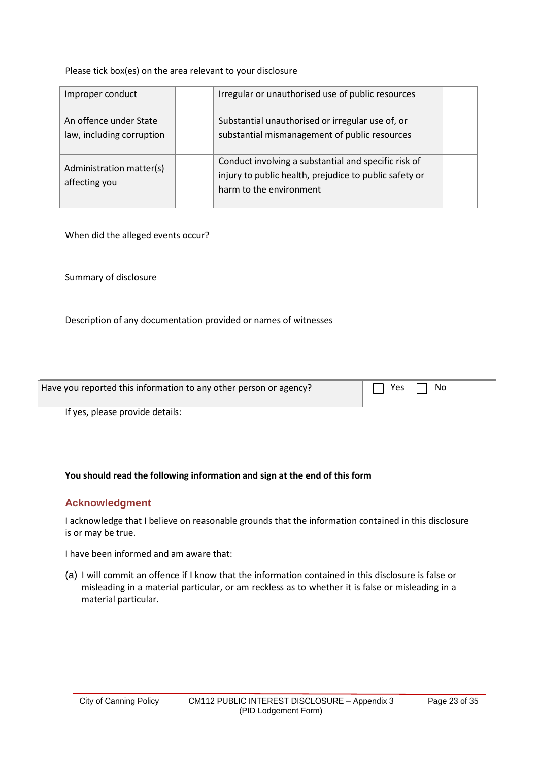Please tick box(es) on the area relevant to your disclosure

| Improper conduct                                    | Irregular or unauthorised use of public resources                                                                                         |  |
|-----------------------------------------------------|-------------------------------------------------------------------------------------------------------------------------------------------|--|
| An offence under State<br>law, including corruption | Substantial unauthorised or irregular use of, or<br>substantial mismanagement of public resources                                         |  |
| Administration matter(s)<br>affecting you           | Conduct involving a substantial and specific risk of<br>injury to public health, prejudice to public safety or<br>harm to the environment |  |

When did the alleged events occur?

Summary of disclosure

Description of any documentation provided or names of witnesses

| Have you reported this information to any other person or agency? | Yes<br>No |
|-------------------------------------------------------------------|-----------|
|                                                                   |           |

If yes, please provide details:

# **You should read the following information and sign at the end of this form**

# **Acknowledgment**

I acknowledge that I believe on reasonable grounds that the information contained in this disclosure is or may be true.

I have been informed and am aware that:

(a) I will commit an offence if I know that the information contained in this disclosure is false or misleading in a material particular, or am reckless as to whether it is false or misleading in a material particular.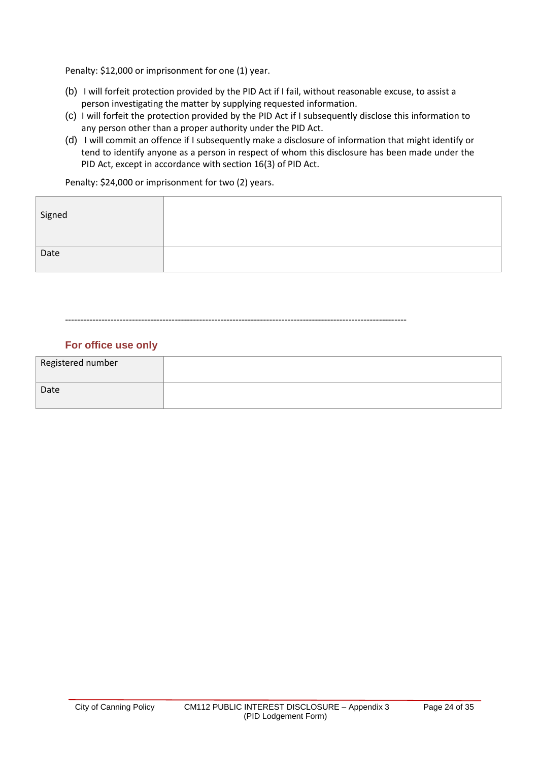Penalty: \$12,000 or imprisonment for one (1) year.

- (b) I will forfeit protection provided by the PID Act if I fail, without reasonable excuse, to assist a person investigating the matter by supplying requested information.
- (c) I will forfeit the protection provided by the PID Act if I subsequently disclose this information to any person other than a proper authority under the PID Act.
- (d) I will commit an offence if I subsequently make a disclosure of information that might identify or tend to identify anyone as a person in respect of whom this disclosure has been made under the PID Act, except in accordance with section 16(3) of PID Act.

Penalty: \$24,000 or imprisonment for two (2) years.

| Signed |  |
|--------|--|
| Date   |  |

----------------------------------------------------------------------------------------------------------------

# **For office use only**

| Registered number |  |
|-------------------|--|
| Date              |  |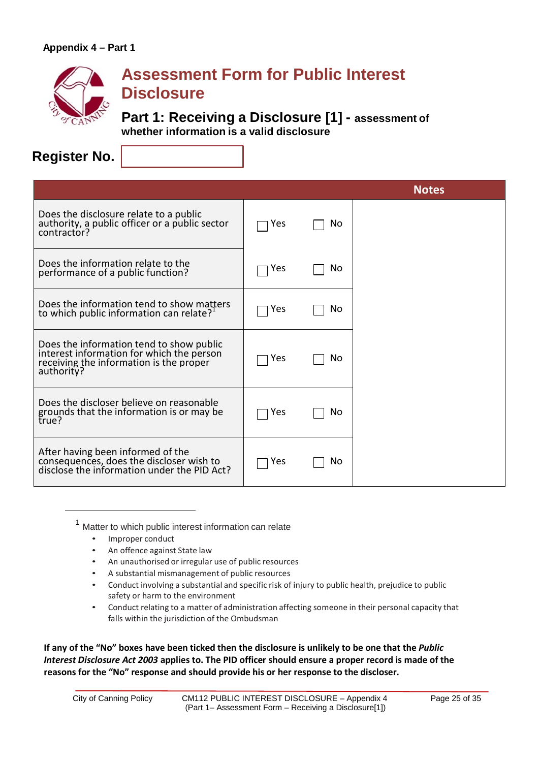

# **Assessment Form for Public Interest Disclosure**

**Part 1: Receiving a Disclosure [1] - assessment of whether information is a valid disclosure**

**Register No.**

|                                                                                                                                                |     |     | <b>Notes</b> |
|------------------------------------------------------------------------------------------------------------------------------------------------|-----|-----|--------------|
| Does the disclosure relate to a public<br>authority, a public officer or a public sector<br>contractor?                                        | Yes | No. |              |
| Does the information relate to the<br>performance of a public function?                                                                        | Yes | No  |              |
| Does the information tend to show matters<br>to which public information can relate? <sup>1</sup>                                              | Yes | No  |              |
| Does the information tend to show public<br>interest information for which the person<br>receiving the information is the proper<br>authority? | Yes | Nο  |              |
| Does the discloser believe on reasonable<br>grounds that the information is or may be<br>true?                                                 | Yes | No  |              |
| After having been informed of the<br>consequences, does the discloser wish to<br>disclose the information under the PID Act?                   | Yes | No  |              |

<sup>1</sup> Matter to which public interest information can relate

- Improper conduct
- An offence against State law
- An unauthorised or irregular use of public resources
- A substantial mismanagement of public resources
- Conduct involving a substantial and specific risk of injury to public health, prejudice to public safety or harm to the environment
- Conduct relating to a matter of administration affecting someone in their personal capacity that falls within the jurisdiction of the Ombudsman

**If any of the "No" boxes have been ticked then the disclosure is unlikely to be one that the** *Public Interest Disclosure Act 2003* **applies to. The PID officer should ensure a proper record is made of the reasons for the "No" response and should provide his or her response to the discloser.**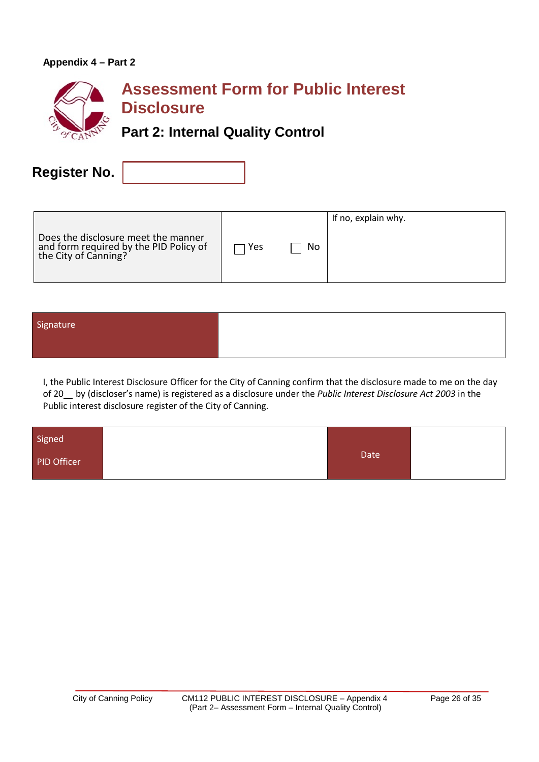# **Appendix 4 – Part 2**



**Register No.**

|                                                                                                       |     |    | If no, explain why. |
|-------------------------------------------------------------------------------------------------------|-----|----|---------------------|
| Does the disclosure meet the manner<br>and form required by the PID Policy of<br>the City of Canning? | Yes | No |                     |

| Signature |  |
|-----------|--|
|           |  |
|           |  |

I, the Public Interest Disclosure Officer for the City of Canning confirm that the disclosure made to me on the day of 20 by (discloser's name) is registered as a disclosure under the *Public Interest Disclosure Act 2003* in the Public interest disclosure register of the City of Canning.

| Signed      |             |  |
|-------------|-------------|--|
| PID Officer | <b>Date</b> |  |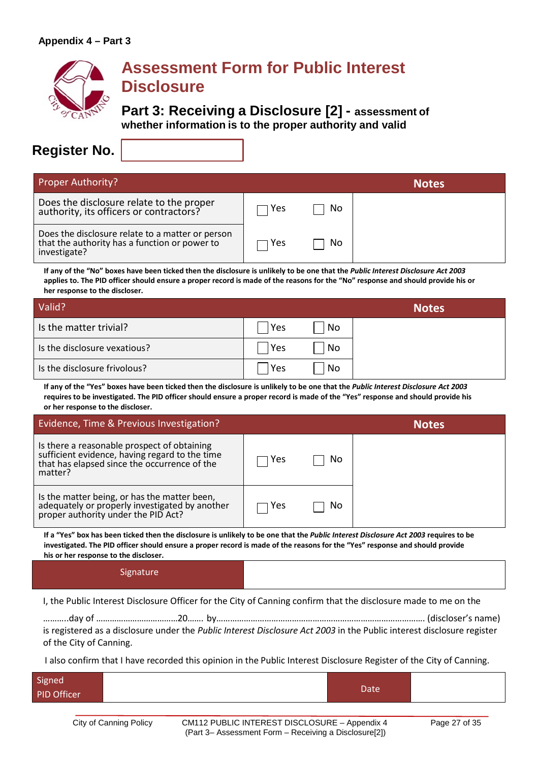

# **Assessment Form for Public Interest Disclosure**

**Part 3: Receiving a Disclosure [2] - assessment of whether information is to the proper authority and valid**

# **Register No.**

| <b>Proper Authority?</b>                                                                                          |     |     | <b>Notes</b> |
|-------------------------------------------------------------------------------------------------------------------|-----|-----|--------------|
| Does the disclosure relate to the proper<br>authority, its officers or contractors?                               | Yes | No. |              |
| Does the disclosure relate to a matter or person<br>that the authority has a function or power to<br>investigate? | Yes | No. |              |

**If any of the "No" boxes have been ticked then the disclosure is unlikely to be one that the** *Public Interest Disclosure Act 2003* **applies to. The PID officer should ensure a proper record is made of the reasons for the "No" response and should provide his or her response to the discloser.**

| Valid?                       |     |    | <b>Notes</b> |
|------------------------------|-----|----|--------------|
| Is the matter trivial?       | Yes | No |              |
| Is the disclosure vexatious? | Yes | No |              |
| Is the disclosure frivolous? | Yes | No |              |

**If any of the "Yes" boxes have been ticked then the disclosure is unlikely to be one that the** *Public Interest Disclosure Act 2003* **requires to be investigated. The PID officer should ensure a proper record is made of the "Yes" response and should provide his or her response to the discloser.**

| Evidence, Time & Previous Investigation?                                                                                                                 |     |    | <b>Notes</b> |
|----------------------------------------------------------------------------------------------------------------------------------------------------------|-----|----|--------------|
| Is there a reasonable prospect of obtaining<br>sufficient evidence, having regard to the time<br>that has elapsed since the occurrence of the<br>matter? | Yes | Νo |              |
| Is the matter being, or has the matter been,<br>adequately or properly investigated by another<br>proper authority under the PID Act?                    | Yes | Νo |              |

If a "Yes" box has been ticked then the disclosure is unlikely to be one that the Public Interest Disclosure Act 2003 requires to be **investigated. The PID officer should ensure a proper record is made of the reasons for the "Yes" response and should provide his or her response to the discloser.**

#### **Signature**

I, the Public Interest Disclosure Officer for the City of Canning confirm that the disclosure made to me on the

………..day of ………………………………20……. by………………………………………………………………………………. (discloser's name) is registered as a disclosure under the *Public Interest Disclosure Act 2003* in the Public interest disclosure register of the City of Canning.

I also confirm that I have recorded this opinion in the Public Interest Disclosure Register of the City of Canning.

| Signed<br>PID Officer | Date |  |
|-----------------------|------|--|
|                       |      |  |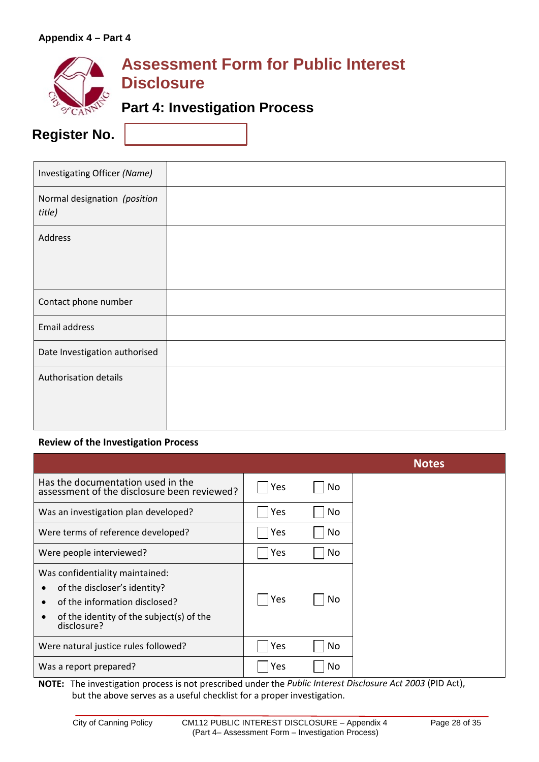

# **Assessment Form for Public Interest Disclosure**

# **Part 4: Investigation Process**

**Register No.**

| Investigating Officer (Name)           |  |
|----------------------------------------|--|
| Normal designation (position<br>title) |  |
| Address                                |  |
| Contact phone number                   |  |
| Email address                          |  |
| Date Investigation authorised          |  |
| Authorisation details                  |  |

# **Review of the Investigation Process**

|                                                                                                                                                             |     |     | <b>Notes</b> |
|-------------------------------------------------------------------------------------------------------------------------------------------------------------|-----|-----|--------------|
| Has the documentation used in the<br>assessment of the disclosure been reviewed?                                                                            | Yes | No. |              |
| Was an investigation plan developed?                                                                                                                        | Yes | No  |              |
| Were terms of reference developed?                                                                                                                          | Yes | No  |              |
| Were people interviewed?                                                                                                                                    | Yes | No. |              |
| Was confidentiality maintained:<br>of the discloser's identity?<br>of the information disclosed?<br>of the identity of the subject(s) of the<br>disclosure? | Yes | No  |              |
| Were natural justice rules followed?                                                                                                                        | Yes | No  |              |
| Was a report prepared?                                                                                                                                      | Yes | No  |              |

**NOTE:** The investigation process is not prescribed under the *Public Interest Disclosure Act 2003* (PID Act), but the above serves as a useful checklist for a proper investigation.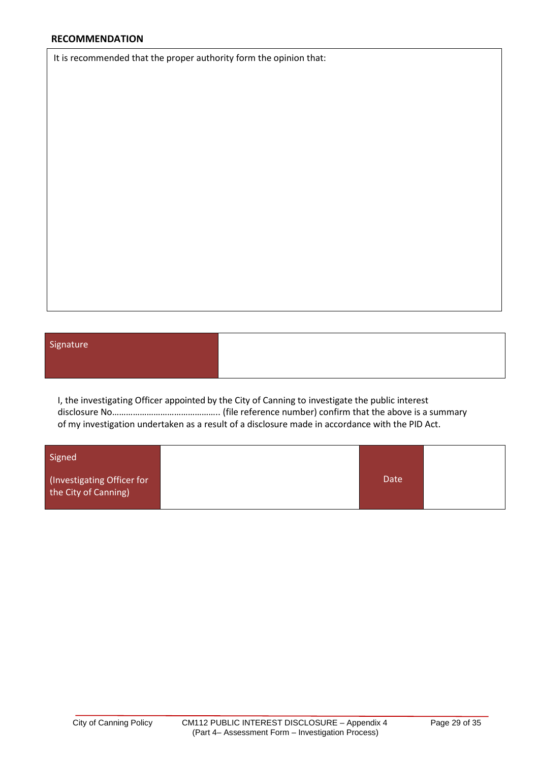It is recommended that the proper authority form the opinion that:

# Signature

I, the investigating Officer appointed by the City of Canning to investigate the public interest disclosure No……………………………………….. (file reference number) confirm that the above is a summary of my investigation undertaken as a result of a disclosure made in accordance with the PID Act.

| Signed                                             |             |  |  |  |  |  |
|----------------------------------------------------|-------------|--|--|--|--|--|
| (Investigating Officer for<br>the City of Canning) | <b>Date</b> |  |  |  |  |  |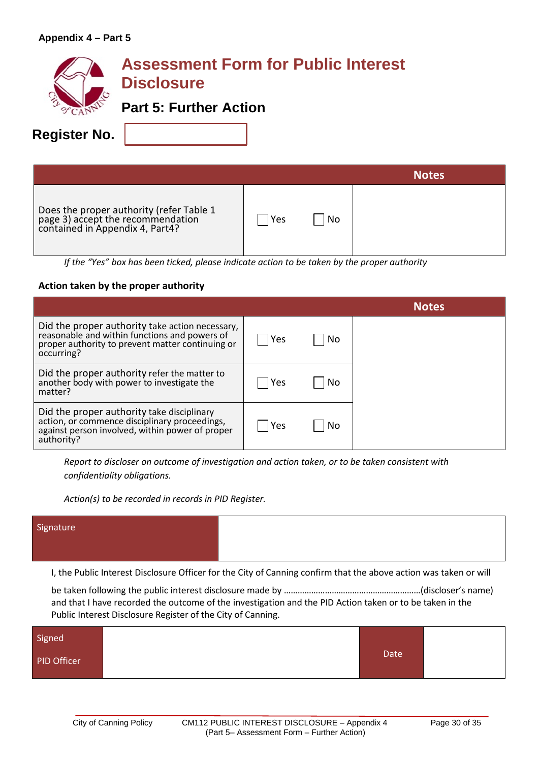| <b>Register No.</b> | <b>Assessment Form for Public Interest</b><br><b>Disclosure</b><br><b>Part 5: Further Action</b>                 |     |    |              |
|---------------------|------------------------------------------------------------------------------------------------------------------|-----|----|--------------|
|                     |                                                                                                                  |     |    | <b>Notes</b> |
|                     | Does the proper authority (refer Table 1<br>page 3) accept the recommendation<br>contained in Appendix 4, Part4? | Yes | No |              |

*If the "Yes" box has been ticked, please indicate action to be taken by the proper authority*

# **Action taken by the proper authority**

|                                                                                                                                                                    |     |    | Notes |
|--------------------------------------------------------------------------------------------------------------------------------------------------------------------|-----|----|-------|
| Did the proper authority take action necessary,<br>reasonable and within functions and powers of<br>proper authority to prevent matter continuing or<br>occurring? | Yes | No |       |
| Did the proper authority refer the matter to<br>another body with power to investigate the<br>matter?                                                              | Yes | No |       |
| Did the proper authority take disciplinary<br>action, or commence disciplinary proceedings,<br>against person involved, within power of proper<br>authority?       | Yes | Nο |       |

*Report to discloser on outcome of investigation and action taken, or to be taken consistent with confidentiality obligations.* 

*Action(s) to be recorded in records in PID Register.*

| Signature |  |
|-----------|--|
|           |  |

I, the Public Interest Disclosure Officer for the City of Canning confirm that the above action was taken or will

be taken following the public interest disclosure made by ……………………………………………………(discloser's name) and that I have recorded the outcome of the investigation and the PID Action taken or to be taken in the Public Interest Disclosure Register of the City of Canning.

| Signed      |      |  |
|-------------|------|--|
| PID Officer | Date |  |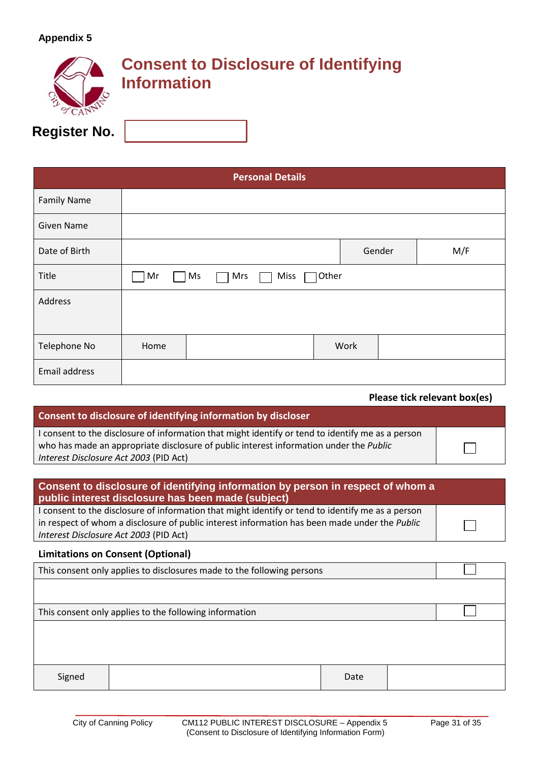|                     | <b>Information</b> | <b>Consent to Disclosure of Identifying</b> |
|---------------------|--------------------|---------------------------------------------|
| <b>Register No.</b> |                    |                                             |

| <b>Personal Details</b> |      |                          |       |      |        |     |
|-------------------------|------|--------------------------|-------|------|--------|-----|
| <b>Family Name</b>      |      |                          |       |      |        |     |
| <b>Given Name</b>       |      |                          |       |      |        |     |
| Date of Birth           |      |                          |       |      | Gender | M/F |
| Title                   | Mr   | <b>Miss</b><br>Ms<br>Mrs | Other |      |        |     |
| Address                 |      |                          |       |      |        |     |
|                         |      |                          |       |      |        |     |
| Telephone No            | Home |                          |       | Work |        |     |
| Email address           |      |                          |       |      |        |     |

 **Please tick relevant box(es)**

 $\Box$ 

┓

# **Consent to disclosure of identifying information by discloser**

I consent to the disclosure of information that might identify or tend to identify me as a person who has made an appropriate disclosure of public interest information under the *Public Interest Disclosure Act 2003* (PID Act)

# **Consent to disclosure of identifying information by person in respect of whom a public interest disclosure has been made (subject)**

I consent to the disclosure of information that might identify or tend to identify me as a person in respect of whom a disclosure of public interest information has been made under the *Public Interest Disclosure Act 2003* (PID Act)

#### **Limitations on Consent (Optional)**

| This consent only applies to disclosures made to the following persons |  |      |  |  |
|------------------------------------------------------------------------|--|------|--|--|
|                                                                        |  |      |  |  |
| This consent only applies to the following information                 |  |      |  |  |
|                                                                        |  |      |  |  |
|                                                                        |  |      |  |  |
|                                                                        |  |      |  |  |
| Signed                                                                 |  | Date |  |  |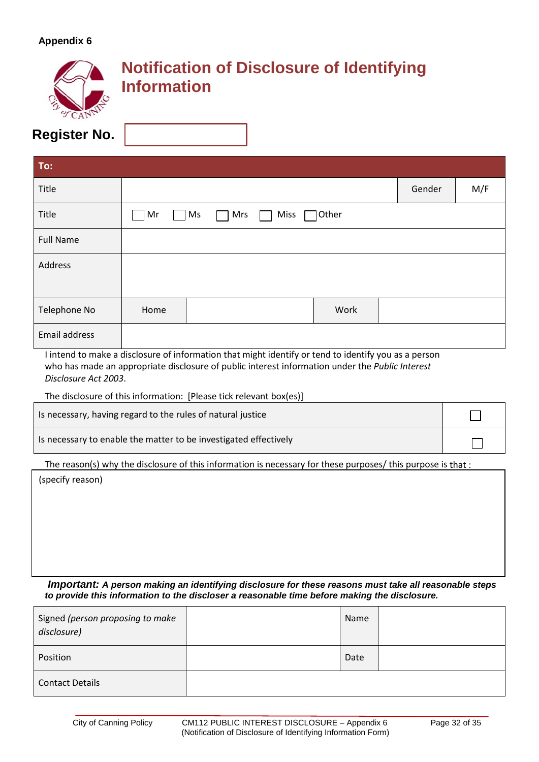|                     | <b>Information</b> | <b>Notification of Disclosure of Identifying</b> |
|---------------------|--------------------|--------------------------------------------------|
| <b>Register No.</b> |                    |                                                  |

| To:                  |      |           |      |       |        |     |
|----------------------|------|-----------|------|-------|--------|-----|
| Title                |      |           |      |       | Gender | M/F |
| Title                | Mr   | Mrs<br>Ms | Miss | Other |        |     |
| <b>Full Name</b>     |      |           |      |       |        |     |
| Address              |      |           |      |       |        |     |
|                      |      |           |      |       |        |     |
| Telephone No         | Home |           |      | Work  |        |     |
| <b>Email address</b> |      |           |      |       |        |     |

I intend to make a disclosure of information that might identify or tend to identify you as a person who has made an appropriate disclosure of public interest information under the *Public Interest Disclosure Act 2003*.

The disclosure of this information: [Please tick relevant box(es)]

| Is necessary, having regard to the rules of natural justice      |  |
|------------------------------------------------------------------|--|
| Is necessary to enable the matter to be investigated effectively |  |

The reason(s) why the disclosure of this information is necessary for these purposes/ this purpose is that :

(specify reason)

*Important: A person making an identifying disclosure for these reasons must take all reasonable steps to provide this information to the discloser a reasonable time before making the disclosure.*

| Signed (person proposing to make<br>disclosure) | Name |  |
|-------------------------------------------------|------|--|
| Position                                        | Date |  |
| <b>Contact Details</b>                          |      |  |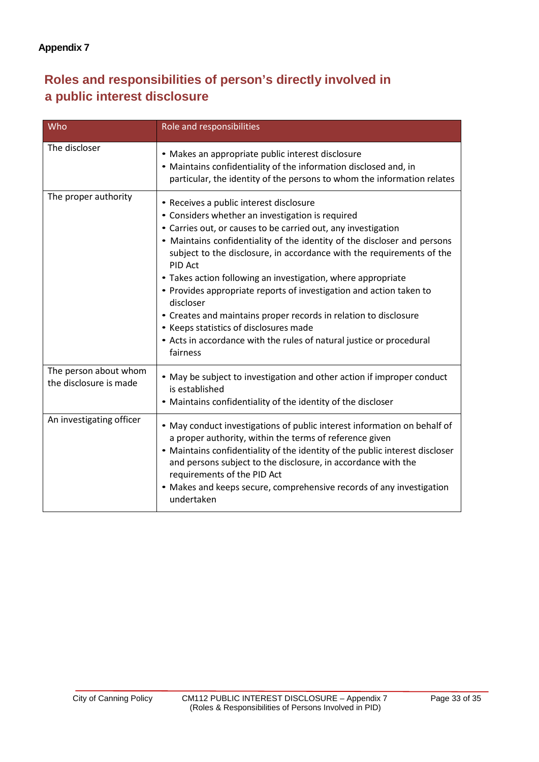# **Roles and responsibilities of person's directly involved in a public interest disclosure**

| Who                                             | Role and responsibilities                                                                                                                                                                                                                                                                                                                                                                                                                                                                                                                                                                                                                                                          |
|-------------------------------------------------|------------------------------------------------------------------------------------------------------------------------------------------------------------------------------------------------------------------------------------------------------------------------------------------------------------------------------------------------------------------------------------------------------------------------------------------------------------------------------------------------------------------------------------------------------------------------------------------------------------------------------------------------------------------------------------|
| The discloser                                   | • Makes an appropriate public interest disclosure<br>• Maintains confidentiality of the information disclosed and, in<br>particular, the identity of the persons to whom the information relates                                                                                                                                                                                                                                                                                                                                                                                                                                                                                   |
| The proper authority                            | • Receives a public interest disclosure<br>• Considers whether an investigation is required<br>• Carries out, or causes to be carried out, any investigation<br>• Maintains confidentiality of the identity of the discloser and persons<br>subject to the disclosure, in accordance with the requirements of the<br>PID Act<br>• Takes action following an investigation, where appropriate<br>• Provides appropriate reports of investigation and action taken to<br>discloser<br>• Creates and maintains proper records in relation to disclosure<br>• Keeps statistics of disclosures made<br>• Acts in accordance with the rules of natural justice or procedural<br>fairness |
| The person about whom<br>the disclosure is made | • May be subject to investigation and other action if improper conduct<br>is established<br>• Maintains confidentiality of the identity of the discloser                                                                                                                                                                                                                                                                                                                                                                                                                                                                                                                           |
| An investigating officer                        | • May conduct investigations of public interest information on behalf of<br>a proper authority, within the terms of reference given<br>• Maintains confidentiality of the identity of the public interest discloser<br>and persons subject to the disclosure, in accordance with the<br>requirements of the PID Act<br>• Makes and keeps secure, comprehensive records of any investigation<br>undertaken                                                                                                                                                                                                                                                                          |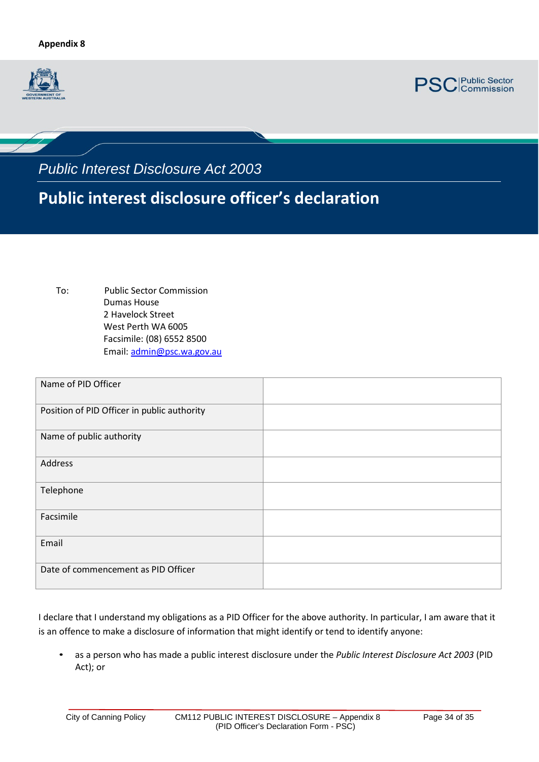



*Public Interest Disclosure Act 2003*

# **Public interest disclosure officer's declaration**

To: Public Sector Commission Dumas House 2 Havelock Street West Perth WA 6005 Facsimile: (08) 6552 8500 Email[: admin@psc.wa.gov.au](mailto:admin@psc.wa.gov.au)

| Name of PID Officer                         |  |
|---------------------------------------------|--|
| Position of PID Officer in public authority |  |
| Name of public authority                    |  |
| Address                                     |  |
| Telephone                                   |  |
| Facsimile                                   |  |
| Email                                       |  |
| Date of commencement as PID Officer         |  |

I declare that I understand my obligations as a PID Officer for the above authority. In particular, I am aware that it is an offence to make a disclosure of information that might identify or tend to identify anyone:

• as a person who has made a public interest disclosure under the *Public Interest Disclosure Act 2003* (PID Act); or